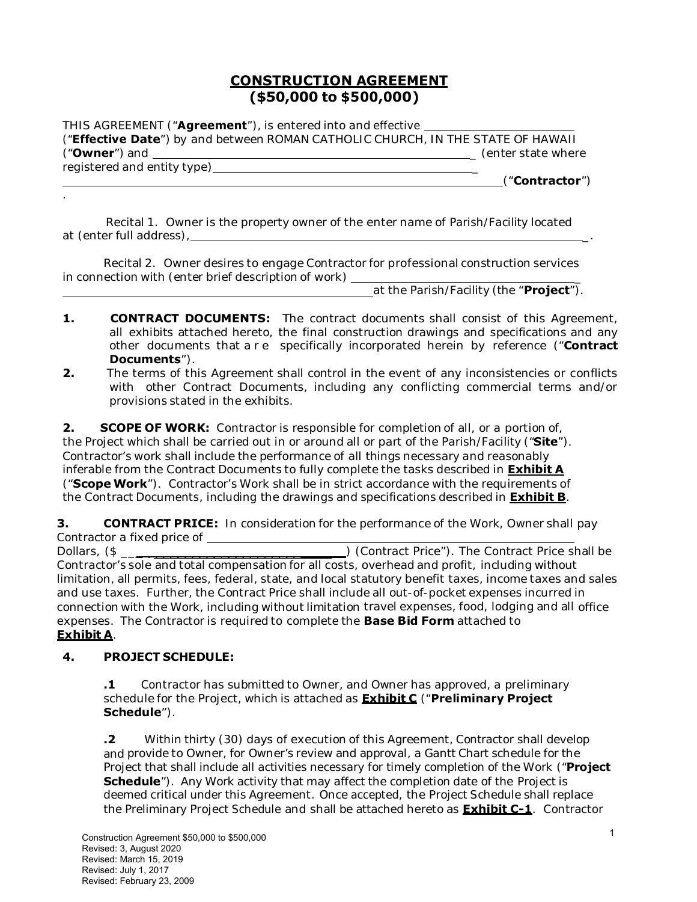# **CONSTRUCTION AGREEMENT (\$50,000 to \$500,000)**

THIS AGREEMENT ("**Agreement**"), is entered into and effective ("**Effective Date**") by and between ROMAN CATHOLIC CHURCH, IN THE STATE OF HAWAII ("**Owner**") and \_ *(enter state where registered and entity type)* \_

("**Contractor**")

Recital 1. Owner is the property owner of the enter name of Parish/Facility located at *(enter full address)*, \_.

Recital 2. Owner desires to engage Contractor for professional construction services in connection with *(enter brief description of work)* \_

at the Parish/Facility (the "**Project**").

- **1. CONTRACT DOCUMENTS:** The contract documents shall consist of this Agreement, all exhibits attached hereto, the final construction drawings and specifications and any other documents that a r e specifically incorporated herein by reference ("**Contract Documents**").
- **2.** The terms of this Agreement shall control in the event of any inconsistencies or conflicts with other Contract Documents, including any conflicting commercial terms and/or provisions stated in the exhibits.

**2.** SCOPE OF WORK: Contractor is responsible for completion of all, or a portion of, the Project which shall be carried out in or around all or part of the Parish/Facility ("**Site**"). Contractor's work shall include the performance of all things necessary and reasonably inferable from the Contract Documents to fully complete the tasks described in **Exhibit A**  ("**Scope Work**"). Contractor's Work shall be in strict accordance with the requirements of the Contract Documents, including the drawings and specifications described in **Exhibit B**.

**3. CONTRACT PRICE:** In consideration for the performance of the Work, Owner shall pay Contractor a fixed price of Dollars,  $(\frac{2}{\sqrt{2}})$  (Contract Price"). The Contract Price shall be Contractor's sole and total compensation for all costs, overhead and profit, including without limitation, all permits, fees, federal, state, and local statutory benefit taxes, income taxes and sales and use taxes. Further, the Contract Price shall include all out-of-pocket expenses incurred in connection with the Work, including without limitation travel expenses, food, lodging and all office expenses. The Contractor is required to complete the **Base Bid Form** attached to **Exhibit A**.

### **4. PROJECT SCHEDULE:**

.

**.1** Contractor has submitted to Owner, and Owner has approved, a preliminary schedule for the Project, which is attached as **Exhibit C** ("**Preliminary Project Schedule**").

**.2** Within thirty (30) days of execution of this Agreement, Contractor shall develop and provide to Owner, for Owner's review and approval, a Gantt Chart schedule for the Project that shall include all activities necessary for timely completion of the Work ("**Project Schedule**"). Any Work activity that may affect the completion date of the Project is deemed critical under this Agreement. Once accepted, the Project Schedule shall replace the Preliminary Project Schedule and shall be attached hereto as **Exhibit C-1**. Contractor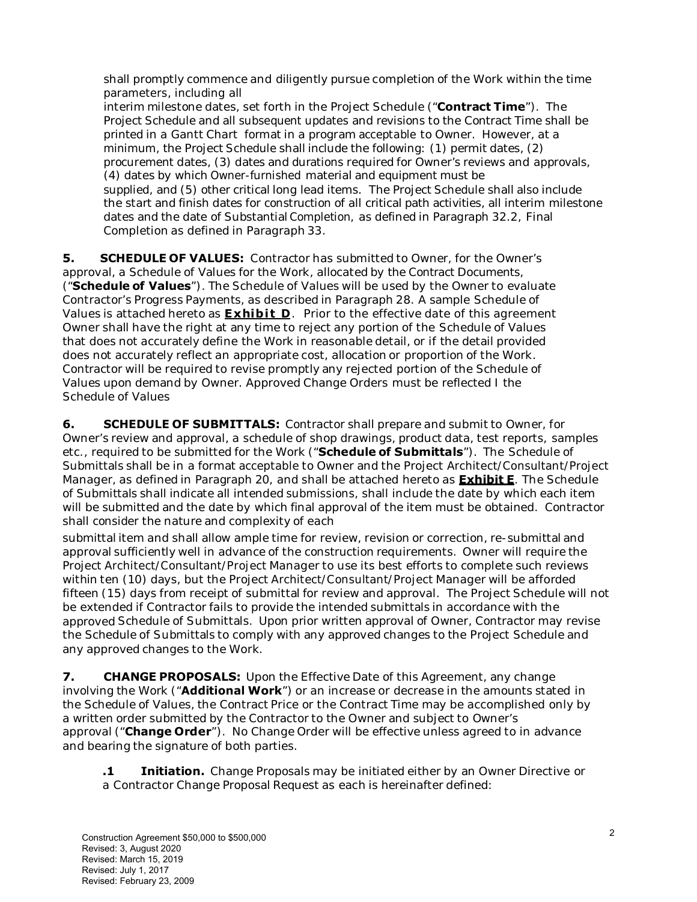shall promptly commence and diligently pursue completion of the Work within the time parameters, including all

interim milestone dates, set forth in the Project Schedule ("**Contract Time**"). The Project Schedule and all subsequent updates and revisions to the Contract Time shall be printed in a Gantt Chart format in a program acceptable to Owner. However, at a minimum, the Project Schedule shall include the following: (1) permit dates, (2) procurement dates, (3) dates and durations required for Owner's reviews and approvals, (4) dates by which Owner-furnished material and equipment must be supplied, and (5) other critical long lead items. The Project Schedule shall also include the start and finish dates for construction of all critical path activities, all interim milestone dates and the date of Substantial Completion, as defined in Paragraph 32.2, Final Completion as defined in Paragraph 33.

**5.** SCHEDULE OF VALUES: Contractor has submitted to Owner, for the Owner's approval, a Schedule of Values for the Work, allocated by the Contract Documents, ("**Schedule of Values**"). The Schedule of Values will be used by the Owner to evaluate Contractor's Progress Payments, as described in Paragraph 28. A sample Schedule of Values is attached hereto as **Exhibit D**. Prior to the effective date of this agreement Owner shall have the right at any time to reject any portion of the Schedule of Values that does not accurately define the Work in reasonable detail, or if the detail provided does not accurately reflect an appropriate cost, allocation or proportion of the Work. Contractor will be required to revise promptly any rejected portion of the Schedule of Values upon demand by Owner. Approved Change Orders must be reflected I the Schedule of Values

**6. SCHEDULE OF SUBMITTALS:** Contractor shall prepare and submit to Owner, for Owner's review and approval, a schedule of shop drawings, product data, test reports, samples etc., required to be submitted for the Work ("**Schedule of Submittals**"). The Schedule of Submittals shall be in a format acceptable to Owner and the Project Architect/Consultant/Project Manager, as defined in Paragraph 20, and shall be attached hereto as **Exhibit E**. The Schedule of Submittals shall indicate all intended submissions, shall include the date by which each item will be submitted and the date by which final approval of the item must be obtained. Contractor shall consider the nature and complexity of each

submittal item and shall allow ample time for review, revision or correction, re-submittal and approval sufficiently well in advance of the construction requirements. Owner will require the Project Architect/Consultant/Project Manager to use its best efforts to complete such reviews within ten (10) days, but the Project Architect/Consultant/Project Manager will be afforded fifteen (15) days from receipt of submittal for review and approval. The Project Schedule will not be extended if Contractor fails to provide the intended submittals in accordance with the approved Schedule of Submittals. Upon prior written approval of Owner, Contractor may revise the Schedule of Submittals to comply with any approved changes to the Project Schedule and any approved changes to the Work.

**7.** CHANGE PROPOSALS: Upon the Effective Date of this Agreement, any change involving the Work ("**Additional Work**") or an increase or decrease in the amounts stated in the Schedule of Values, the Contract Price or the Contract Time may be accomplished only by a written order submitted by the Contractor to the Owner and subject to Owner's approval ("**Change Order**"). No Change Order will be effective unless agreed to in advance and bearing the signature of both parties.

**.1 Initiation.** Change Proposals may be initiated either by an Owner Directive or a Contractor Change Proposal Request as each is hereinafter defined: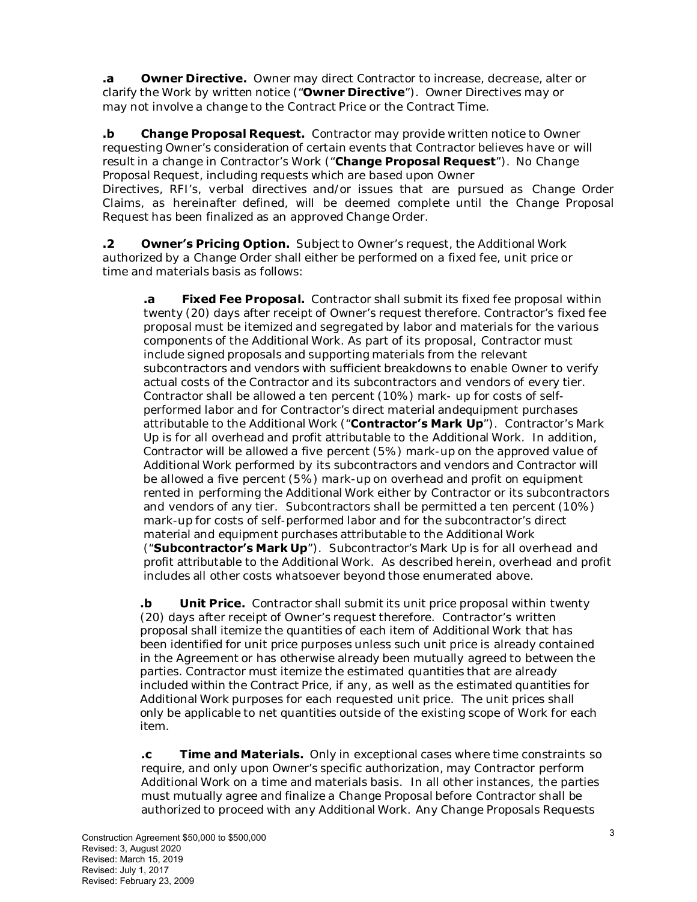**.a Owner Directive.** Owner may direct Contractor to increase, decrease, alter or clarify the Work by written notice ("**Owner Directive**"). Owner Directives may or may not involve a change to the Contract Price or the Contract Time.

**.b Change Proposal Request.** Contractor may provide written notice to Owner requesting Owner's consideration of certain events that Contractor believes have or will result in a change in Contractor's Work ("**Change Proposal Request**"). No Change Proposal Request, including requests which are based upon Owner Directives, RFI's, verbal directives and/or issues that are pursued as Change Order Claims, as hereinafter defined, will be deemed complete until the Change Proposal Request has been finalized as an approved Change Order.

**.2 Owner's Pricing Option.** Subject to Owner's request, the Additional Work authorized by a Change Order shall either be performed on a fixed fee, unit price or time and materials basis as follows:

**a** Fixed Fee Proposal. Contractor shall submit its fixed fee proposal within twenty (20) days after receipt of Owner's request therefore. Contractor's fixed fee proposal must be itemized and segregated by labor and materials for the various components of the Additional Work. As part of its proposal, Contractor must include signed proposals and supporting materials from the relevant subcontractors and vendors with sufficient breakdowns to enable Owner to verify actual costs of the Contractor and its subcontractors and vendors of every tier. Contractor shall be allowed a ten percent (10%) mark- up for costs of selfperformed labor and for Contractor's direct material andequipment purchases attributable to the Additional Work ("**Contractor's Mark Up**"). Contractor's Mark Up is for all overhead and profit attributable to the Additional Work. In addition, Contractor will be allowed a five percent (5%) mark-up on the approved value of Additional Work performed by its subcontractors and vendors and Contractor will be allowed a five percent (5%) mark-up on overhead and profit on equipment rented in performing the Additional Work either by Contractor or its subcontractors and vendors of any tier. Subcontractors shall be permitted a ten percent (10%) mark-up for costs of self-performed labor and for the subcontractor's direct material and equipment purchases attributable to the Additional Work ("**Subcontractor's Mark Up**"). Subcontractor's Mark Up is for all overhead and profit attributable to the Additional Work. As described herein, overhead and profit includes all other costs whatsoever beyond those enumerated above.

**.b Unit Price.** Contractor shall submit its unit price proposal within twenty (20) days after receipt of Owner's request therefore. Contractor's written proposal shall itemize the quantities of each item of Additional Work that has been identified for unit price purposes unless such unit price is already contained in the Agreement or has otherwise already been mutually agreed to between the parties. Contractor must itemize the estimated quantities that are already included within the Contract Price, if any, as well as the estimated quantities for Additional Work purposes for each requested unit price. The unit prices shall only be applicable to net quantities outside of the existing scope of Work for each item.

**.c Time and Materials.** Only in exceptional cases where time constraints so require, and only upon Owner's specific authorization, may Contractor perform Additional Work on a time and materials basis. In all other instances, the parties must mutually agree and finalize a Change Proposal before Contractor shall be authorized to proceed with any Additional Work. Any Change Proposals Requests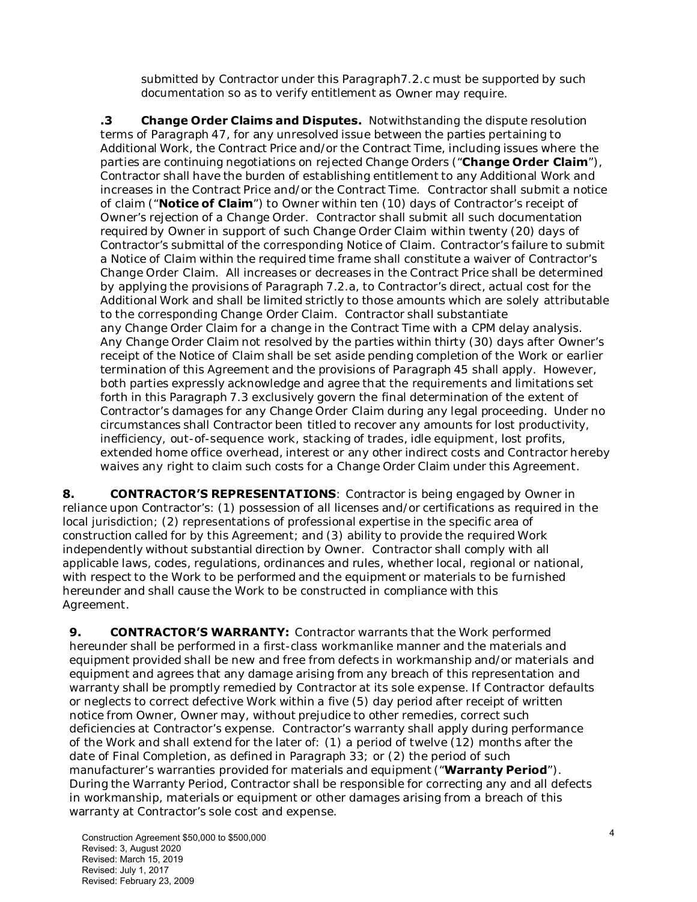submitted by Contractor under this Paragraph7.2.c must be supported by such documentation so as to verify entitlement as Owner may require.

**.3 Change Order Claims and Disputes.** Notwithstanding the dispute resolution terms of Paragraph 47, for any unresolved issue between the parties pertaining to Additional Work, the Contract Price and/or the Contract Time, including issues where the parties are continuing negotiations on rejected Change Orders ("**Change Order Claim**"), Contractor shall have the burden of establishing entitlement to any Additional Work and increases in the Contract Price and/or the Contract Time. Contractor shall submit a notice of claim ("**Notice of Claim**") to Owner within ten (10) days of Contractor's receipt of Owner's rejection of a Change Order. Contractor shall submit all such documentation required by Owner in support of such Change Order Claim within twenty (20) days of Contractor's submittal of the corresponding Notice of Claim. Contractor's failure to submit a Notice of Claim within the required time frame shall constitute a waiver of Contractor's Change Order Claim. All increases or decreases in the Contract Price shall be determined by applying the provisions of Paragraph 7.2.a, to Contractor's direct, actual cost for the Additional Work and shall be limited strictly to those amounts which are solely attributable to the corresponding Change Order Claim. Contractor shall substantiate any Change Order Claim for a change in the Contract Time with a CPM delay analysis. Any Change Order Claim not resolved by the parties within thirty (30) days after Owner's receipt of the Notice of Claim shall be set aside pending completion of the Work or earlier termination of this Agreement and the provisions of Paragraph 45 shall apply. However, both parties expressly acknowledge and agree that the requirements and limitations set forth in this Paragraph 7.3 exclusively govern the final determination of the extent of Contractor's damages for any Change Order Claim during any legal proceeding. Under no circumstances shall Contractor been titled to recover any amounts for lost productivity, inefficiency, out-of-sequence work, stacking of trades, idle equipment, lost profits, extended home office overhead, interest or any other indirect costs and Contractor hereby waives any right to claim such costs for a Change Order Claim under this Agreement.

**8. CONTRACTOR'S REPRESENTATIONS:** Contractor is being engaged by Owner in reliance upon Contractor's: (1) possession of all licenses and/or certifications as required in the local jurisdiction; (2) representations of professional expertise in the specific area of construction called for by this Agreement; and (3) ability to provide the required Work independently without substantial direction by Owner. Contractor shall comply with all applicable laws, codes, regulations, ordinances and rules, whether local, regional or national, with respect to the Work to be performed and the equipment or materials to be furnished hereunder and shall cause the Work to be constructed in compliance with this Agreement.

**9. CONTRACTOR'S WARRANTY:** Contractor warrants that the Work performed hereunder shall be performed in a first-class workmanlike manner and the materials and equipment provided shall be new and free from defects in workmanship and/or materials and equipment and agrees that any damage arising from any breach of this representation and warranty shall be promptly remedied by Contractor at its sole expense. If Contractor defaults or neglects to correct defective Work within a five (5) day period after receipt of written notice from Owner, Owner may, without prejudice to other remedies, correct such deficiencies at Contractor's expense. Contractor's warranty shall apply during performance of the Work and shall extend for the later of: (1) a period of twelve (12) months after the date of Final Completion, as defined in Paragraph 33; or (2) the period of such manufacturer's warranties provided for materials and equipment ("**Warranty Period**"). During the Warranty Period, Contractor shall be responsible for correcting any and all defects in workmanship, materials or equipment or other damages arising from a breach of this warranty at Contractor's sole cost and expense.

Construction Agreement \$50,000 to \$500,000 Revised: 3, August 2020 Revised: March 15, 2019 Revised: July 1, 2017 Revised: February 23, 2009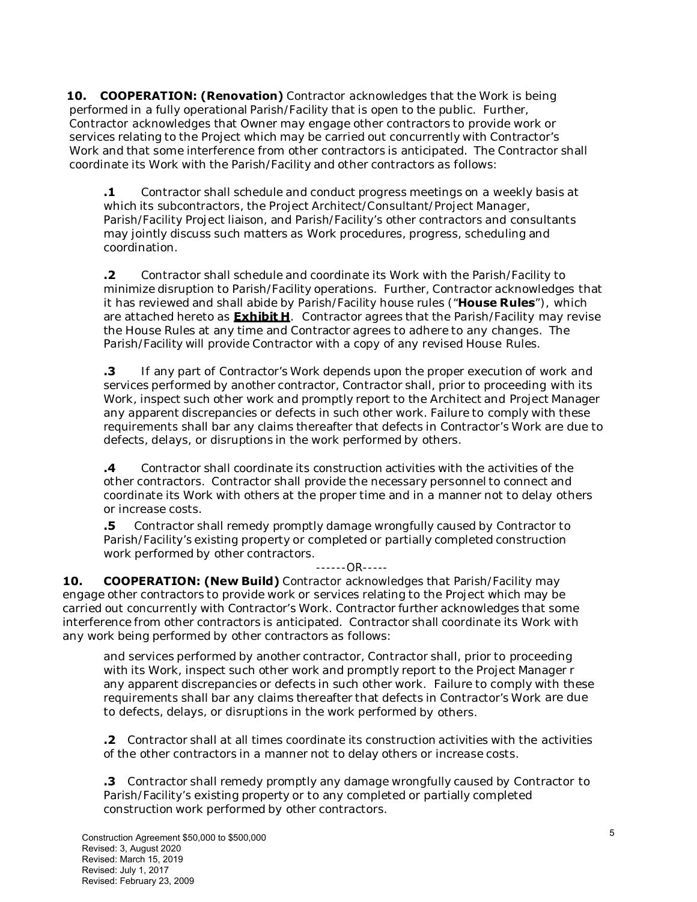**10. COOPERATION: (Renovation)** Contractor acknowledges that the Work is being performed in a fully operational Parish/Facility that is open to the public. Further, Contractor acknowledges that Owner may engage other contractors to provide work or services relating to the Project which may be carried out concurrently with Contractor's Work and that some interference from other contractors is anticipated. The Contractor shall coordinate its Work with the Parish/Facility and other contractors as follows:

**.1** Contractor shall schedule and conduct progress meetings on a weekly basis at which its subcontractors, the Project Architect/Consultant/Project Manager, Parish/Facility Project liaison, and Parish/Facility's other contractors and consultants may jointly discuss such matters as Work procedures, progress, scheduling and coordination.

**.2** Contractor shall schedule and coordinate its Work with the Parish/Facility to minimize disruption to Parish/Facility operations. Further, Contractor acknowledges that it has reviewed and shall abide by Parish/Facility house rules ("**House Rules**"), which are attached hereto as **Exhibit H**. Contractor agrees that the Parish/Facility may revise the House Rules at any time and Contractor agrees to adhere to any changes. The Parish/Facility will provide Contractor with a copy of any revised House Rules.

**.3** If any part of Contractor's Work depends upon the proper execution of work and services performed by another contractor, Contractor shall, prior to proceeding with its Work, inspect such other work and promptly report to the Architect and Project Manager any apparent discrepancies or defects in such other work. Failure to comply with these requirements shall bar any claims thereafter that defects in Contractor's Work are due to defects, delays, or disruptions in the work performed by others.

**.4** Contractor shall coordinate its construction activities with the activities of the other contractors. Contractor shall provide the necessary personnel to connect and coordinate its Work with others at the proper time and in a manner not to delay others or increase costs.

**.5** Contractor shall remedy promptly damage wrongfully caused by Contractor to Parish/Facility's existing property or completed or partially completed construction work performed by other contractors.

------OR-----

**10. COOPERATION: (New Build)** Contractor acknowledges that Parish/Facility may engage other contractors to provide work or services relating to the Project which may be carried out concurrently with Contractor's Work. Contractor further acknowledges that some interference from other contractors is anticipated. Contractor shall coordinate its Work with any work being performed by other contractors as follows:

and services performed by another contractor, Contractor shall, prior to proceeding with its Work, inspect such other work and promptly report to the Project Manager r any apparent discrepancies or defects in such other work. Failure to comply with these requirements shall bar any claims thereafter that defects in Contractor's Work are due to defects, delays, or disruptions in the work performed by others.

**.2** Contractor shall at all times coordinate its construction activities with the activities of the other contractors in a manner not to delay others or increase costs.

**.3** Contractor shall remedy promptly any damage wrongfully caused by Contractor to Parish/Facility's existing property or to any completed or partially completed construction work performed by other contractors.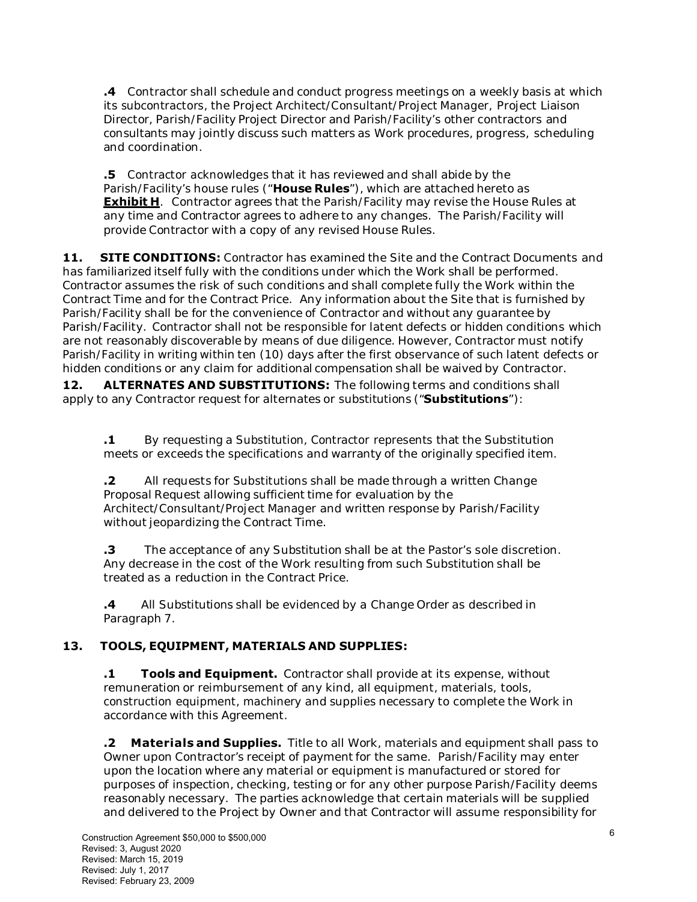**.4** Contractor shall schedule and conduct progress meetings on a weekly basis at which its subcontractors, the Project Architect/Consultant/Project Manager, Project Liaison Director, Parish/Facility Project Director and Parish/Facility's other contractors and consultants may jointly discuss such matters as Work procedures, progress, scheduling and coordination.

**.5** Contractor acknowledges that it has reviewed and shall abide by the Parish/Facility's house rules ("**House Rules**"), which are attached hereto as **Exhibit H**. Contractor agrees that the Parish/Facility may revise the House Rules at any time and Contractor agrees to adhere to any changes. The Parish/Facility will provide Contractor with a copy of any revised House Rules.

11. SITE CONDITIONS: Contractor has examined the Site and the Contract Documents and has familiarized itself fully with the conditions under which the Work shall be performed. Contractor assumes the risk of such conditions and shall complete fully the Work within the Contract Time and for the Contract Price. Any information about the Site that is furnished by Parish/Facility shall be for the convenience of Contractor and without any guarantee by Parish/Facility. Contractor shall not be responsible for latent defects or hidden conditions which are not reasonably discoverable by means of due diligence. However, Contractor must notify Parish/Facility in writing within ten (10) days after the first observance of such latent defects or hidden conditions or any claim for additional compensation shall be waived by Contractor.

**12. ALTERNATES AND SUBSTITUTIONS:** The following terms and conditions shall apply to any Contractor request for alternates or substitutions ("**Substitutions**"):

**.1** By requesting a Substitution, Contractor represents that the Substitution meets or exceeds the specifications and warranty of the originally specified item.

**.2** All requests for Substitutions shall be made through a written Change Proposal Request allowing sufficient time for evaluation by the Architect/Consultant/Project Manager and written response by Parish/Facility without jeopardizing the Contract Time.

**.3** The acceptance of any Substitution shall be at the Pastor's sole discretion. Any decrease in the cost of the Work resulting from such Substitution shall be treated as a reduction in the Contract Price.

**.4** All Substitutions shall be evidenced by a Change Order as described in Paragraph 7.

### **13. TOOLS, EQUIPMENT, MATERIALS AND SUPPLIES:**

**.1 Tools and Equipment.** Contractor shall provide at its expense, without remuneration or reimbursement of any kind, all equipment, materials, tools, construction equipment, machinery and supplies necessary to complete the Work in accordance with this Agreement.

**.2 Materials and Supplies.** Title to all Work, materials and equipment shall pass to Owner upon Contractor's receipt of payment for the same. Parish/Facility may enter upon the location where any material or equipment is manufactured or stored for purposes of inspection, checking, testing or for any other purpose Parish/Facility deems reasonably necessary. The parties acknowledge that certain materials will be supplied and delivered to the Project by Owner and that Contractor will assume responsibility for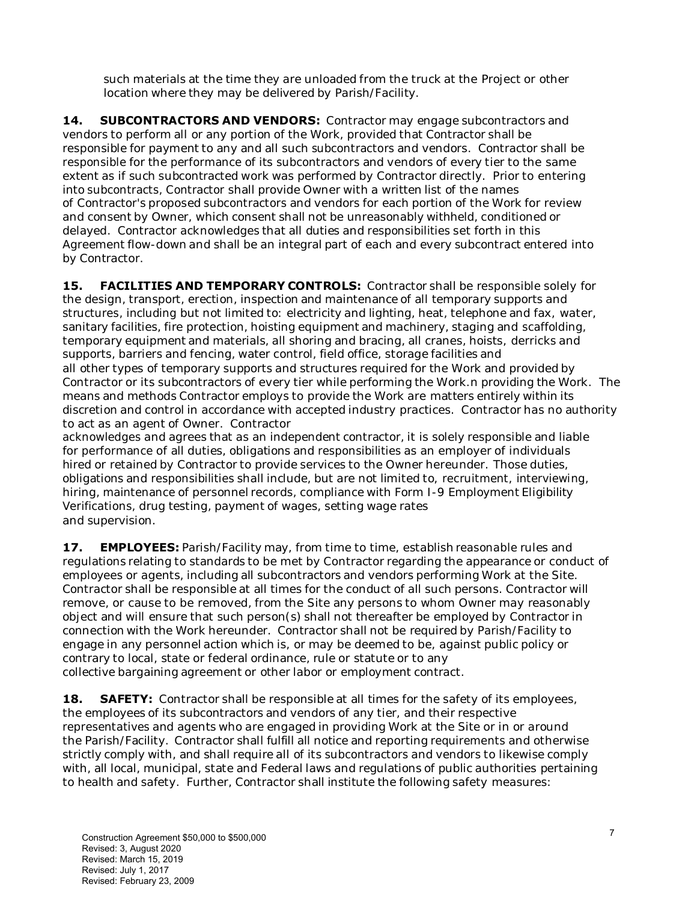such materials at the time they are unloaded from the truck at the Project or other location where they may be delivered by Parish/Facility.

**14. SUBCONTRACTORS AND VENDORS:** Contractor may engage subcontractors and vendors to perform all or any portion of the Work, provided that Contractor shall be responsible for payment to any and all such subcontractors and vendors. Contractor shall be responsible for the performance of its subcontractors and vendors of every tier to the same extent as if such subcontracted work was performed by Contractor directly. Prior to entering into subcontracts, Contractor shall provide Owner with a written list of the names of Contractor's proposed subcontractors and vendors for each portion of the Work for review and consent by Owner, which consent shall not be unreasonably withheld, conditioned or delayed. Contractor acknowledges that all duties and responsibilities set forth in this Agreement flow-down and shall be an integral part of each and every subcontract entered into by Contractor.

**15. FACILITIES AND TEMPORARY CONTROLS:** Contractor shall be responsible solely for the design, transport, erection, inspection and maintenance of all temporary supports and structures, including but not limited to: electricity and lighting, heat, telephone and fax, water, sanitary facilities, fire protection, hoisting equipment and machinery, staging and scaffolding, temporary equipment and materials, all shoring and bracing, all cranes, hoists, derricks and supports, barriers and fencing, water control, field office, storage facilities and all other types of temporary supports and structures required for the Work and provided by Contractor or its subcontractors of every tier while performing the Work.n providing the Work. The means and methods Contractor employs to provide the Work are matters entirely within its discretion and control in accordance with accepted industry practices. Contractor has no authority to act as an agent of Owner. Contractor

acknowledges and agrees that as an independent contractor, it is solely responsible and liable for performance of all duties, obligations and responsibilities as an employer of individuals hired or retained by Contractor to provide services to the Owner hereunder. Those duties, obligations and responsibilities shall include, but are not limited to, recruitment, interviewing, hiring, maintenance of personnel records, compliance with Form I-9 Employment Eligibility Verifications, drug testing, payment of wages, setting wage rates and supervision.

**17. EMPLOYEES:** Parish/Facility may, from time to time, establish reasonable rules and regulations relating to standards to be met by Contractor regarding the appearance or conduct of employees or agents, including all subcontractors and vendors performing Work at the Site. Contractor shall be responsible at all times for the conduct of all such persons. Contractor will remove, or cause to be removed, from the Site any persons to whom Owner may reasonably object and will ensure that such person(s) shall not thereafter be employed by Contractor in connection with the Work hereunder. Contractor shall not be required by Parish/Facility to engage in any personnel action which is, or may be deemed to be, against public policy or contrary to local, state or federal ordinance, rule or statute or to any collective bargaining agreement or other labor or employment contract.

**18. SAFETY:** Contractor shall be responsible at all times for the safety of its employees, the employees of its subcontractors and vendors of any tier, and their respective representatives and agents who are engaged in providing Work at the Site or in or around the Parish/Facility. Contractor shall fulfill all notice and reporting requirements and otherwise strictly comply with, and shall require all of its subcontractors and vendors to likewise comply with, all local, municipal, state and Federal laws and regulations of public authorities pertaining to health and safety. Further, Contractor shall institute the following safety measures: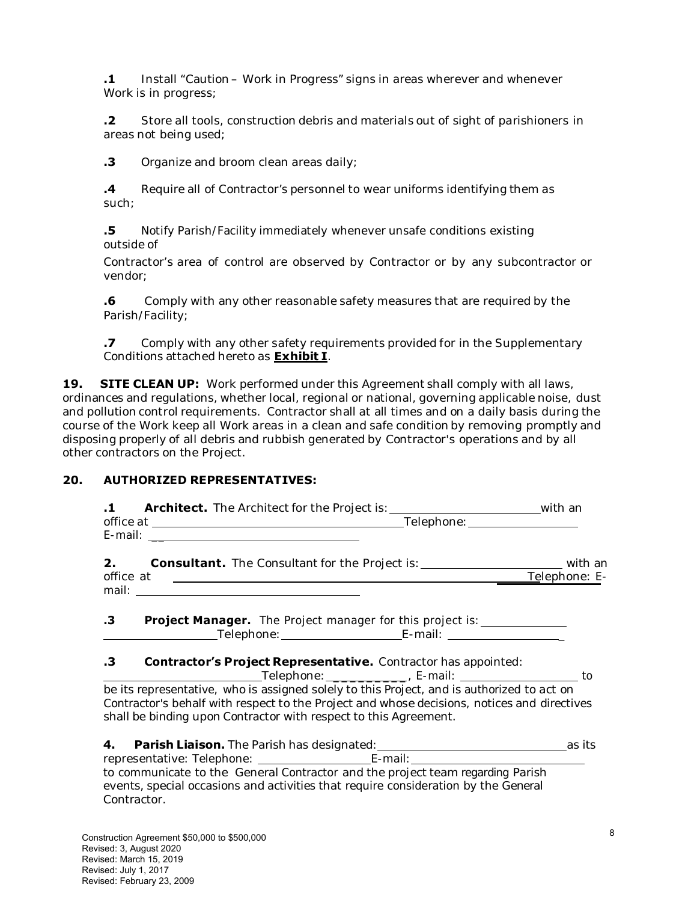**.1** Install "*Caution – Work in Progress*" signs in areas wherever and whenever Work is in progress;

**.2** Store all tools, construction debris and materials out of sight of parishioners in areas not being used;

**.3** Organize and broom clean areas daily;

**.4** Require all of Contractor's personnel to wear uniforms identifying them as such;

**.5** Notify Parish/Facility immediately whenever unsafe conditions existing outside of

Contractor's area of control are observed by Contractor or by any subcontractor or vendor;

**.6** Comply with any other reasonable safety measures that are required by the Parish/Facility;

**.7** Comply with any other safety requirements provided for in the Supplementary Conditions attached hereto as **Exhibit I**.

**19. SITE CLEAN UP:** Work performed under this Agreement shall comply with all laws, ordinances and regulations, whether local, regional or national, governing applicable noise, dust and pollution control requirements. Contractor shall at all times and on a daily basis during the course of the Work keep all Work areas in a clean and safe condition by removing promptly and disposing properly of all debris and rubbish generated by Contractor's operations and by all other contractors on the Project.

#### **20. AUTHORIZED REPRESENTATIVES:**

| <b>1.1 Architect.</b> The Architect for the Project is: ______________________________with an                                                                                                                                                                            |               |         |
|--------------------------------------------------------------------------------------------------------------------------------------------------------------------------------------------------------------------------------------------------------------------------|---------------|---------|
| 2. Consultant. The Consultant for the Project is: ______________________________                                                                                                                                                                                         | Telephone: E- | with an |
| .3<br><b>Project Manager.</b> The Project manager for this project is: _____________________<br><b>Contractor's Project Representative.</b> Contractor has appointed:<br>.3                                                                                              |               |         |
| be its representative, who is assigned solely to this Project, and is authorized to act on<br>Contractor's behalf with respect to the Project and whose decisions, notices and directives<br>shall be binding upon Contractor with respect to this Agreement.            |               |         |
| representative: Telephone: ___________________________E-mail: ___________________<br>to communicate to the General Contractor and the project team regarding Parish<br>events, special occasions and activities that require consideration by the General<br>Contractor. |               |         |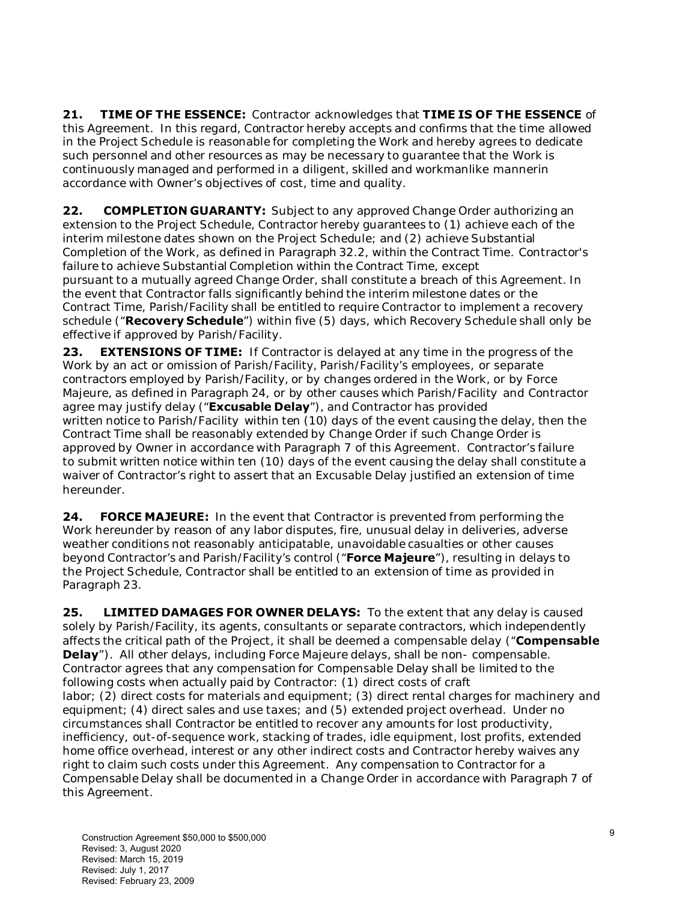**21. TIME OF THE ESSENCE:** Contractor acknowledges that **TIME IS OF THE ESSENCE** of this Agreement. In this regard, Contractor hereby accepts and confirms that the time allowed in the Project Schedule is reasonable for completing the Work and hereby agrees to dedicate such personnel and other resources as may be necessary to guarantee that the Work is continuously managed and performed in a diligent, skilled and workmanlike mannerin accordance with Owner's objectives of cost, time and quality.

**22. COMPLETION GUARANTY:** Subject to any approved Change Order authorizing an extension to the Project Schedule, Contractor hereby guarantees to (1) achieve each of the interim milestone dates shown on the Project Schedule; and (2) achieve Substantial Completion of the Work, as defined in Paragraph 32.2, within the Contract Time. Contractor's failure to achieve Substantial Completion within the Contract Time, except pursuant to a mutually agreed Change Order, shall constitute a breach of this Agreement. In the event that Contractor falls significantly behind the interim milestone dates or the Contract Time, Parish/Facility shall be entitled to require Contractor to implement a recovery schedule ("**Recovery Schedule**") within five (5) days, which Recovery Schedule shall only be effective if approved by Parish/Facility.

**23. EXTENSIONS OF TIME:** If Contractor is delayed at any time in the progress of the Work by an act or omission of Parish/Facility, Parish/Facility's employees, or separate contractors employed by Parish/Facility, or by changes ordered in the Work, or by Force Majeure, as defined in Paragraph 24, or by other causes which Parish/Facility and Contractor agree may justify delay ("**Excusable Delay**"), and Contractor has provided written notice to Parish/Facility within ten (10) days of the event causing the delay, then the Contract Time shall be reasonably extended by Change Order if such Change Order is approved by Owner in accordance with Paragraph 7 of this Agreement. Contractor's failure to submit written notice within ten (10) days of the event causing the delay shall constitute a waiver of Contractor's right to assert that an Excusable Delay justified an extension of time hereunder.

**24. FORCE MAJEURE:** In the event that Contractor is prevented from performing the Work hereunder by reason of any labor disputes, fire, unusual delay in deliveries, adverse weather conditions not reasonably anticipatable, unavoidable casualties or other causes beyond Contractor's and Parish/Facility's control ("**Force Majeure**"), resulting in delays to the Project Schedule, Contractor shall be entitled to an extension of time as provided in Paragraph 23.

**25. LIMITED DAMAGES FOR OWNER DELAYS:** To the extent that any delay is caused solely by Parish/Facility, its agents, consultants or separate contractors, which independently affects the critical path of the Project, it shall be deemed a compensable delay ("**Compensable Delay**"). All other delays, including Force Majeure delays, shall be non- compensable. Contractor agrees that any compensation for Compensable Delay shall be limited to the following costs when actually paid by Contractor: (1) direct costs of craft labor; (2) direct costs for materials and equipment; (3) direct rental charges for machinery and equipment; (4) direct sales and use taxes; and (5) extended project overhead. Under no circumstances shall Contractor be entitled to recover any amounts for lost productivity, inefficiency, out-of-sequence work, stacking of trades, idle equipment, lost profits, extended home office overhead, interest or any other indirect costs and Contractor hereby waives any right to claim such costs under this Agreement. Any compensation to Contractor for a Compensable Delay shall be documented in a Change Order in accordance with Paragraph 7 of this Agreement.

Construction Agreement \$50,000 to \$500,000 Revised: 3, August 2020 Revised: March 15, 2019 Revised: July 1, 2017 Revised: February 23, 2009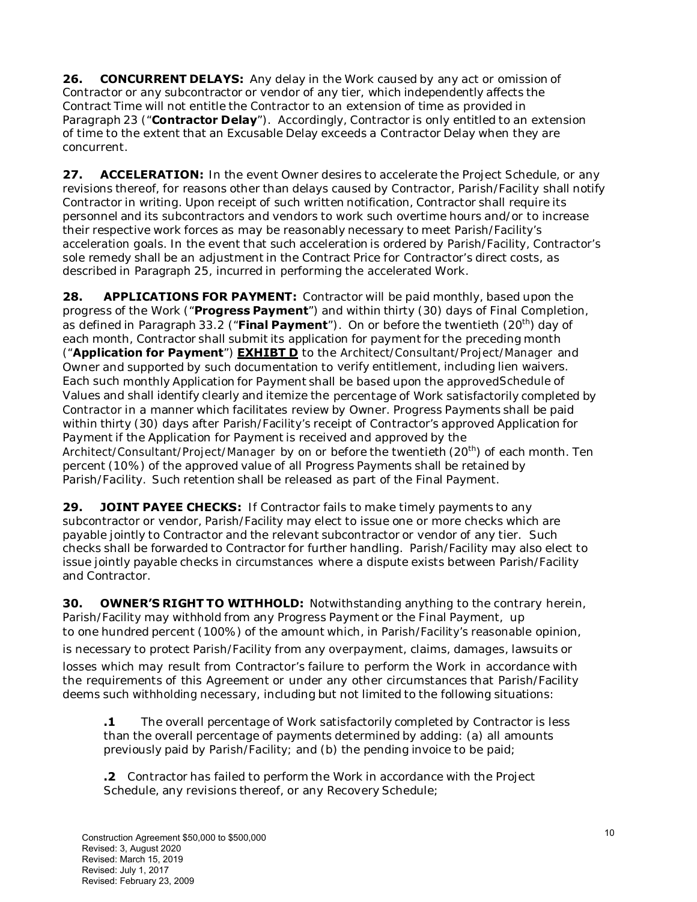**26. CONCURRENT DELAYS:** Any delay in the Work caused by any act or omission of Contractor or any subcontractor or vendor of any tier, which independently affects the Contract Time will not entitle the Contractor to an extension of time as provided in Paragraph 23 ("**Contractor Delay**"). Accordingly, Contractor is only entitled to an extension of time to the extent that an Excusable Delay exceeds a Contractor Delay when they are concurrent.

27. ACCELERATION: In the event Owner desires to accelerate the Project Schedule, or any revisions thereof, for reasons other than delays caused by Contractor, Parish/Facility shall notify Contractor in writing. Upon receipt of such written notification, Contractor shall require its personnel and its subcontractors and vendors to work such overtime hours and/or to increase their respective work forces as may be reasonably necessary to meet Parish/Facility's acceleration goals. In the event that such acceleration is ordered by Parish/Facility, Contractor's sole remedy shall be an adjustment in the Contract Price for Contractor's direct costs, as described in Paragraph 25, incurred in performing the accelerated Work.

**28. APPLICATIONS FOR PAYMENT:** Contractor will be paid monthly, based upon the progress of the Work ("**Progress Payment**") and within thirty (30) days of Final Completion, as defined in Paragraph 33.2 ("**Final Payment**"). On or before the twentieth (20<sup>th</sup>) day of each month, Contractor shall submit its application for payment for the preceding month ("**Application for Payment**") **EXHIBT D** to the Architect/Consultant/Project/Manager and Owner and supported by such documentation to verify entitlement, including lien waivers. Each such monthly Application for Payment shall be based upon the approvedSchedule of Values and shall identify clearly and itemize the percentage of Work satisfactorily completed by Contractor in a manner which facilitates review by Owner. Progress Payments shall be paid within thirty (30) days after Parish/Facility's receipt of Contractor's approved Application for Payment if the Application for Payment is received and approved by the Architect/Consultant/Project/Manager by on or before the twentieth (20<sup>th</sup>) of each month. Ten percent (10%) of the approved value of all Progress Payments shall be retained by Parish/Facility. Such retention shall be released as part of the Final Payment.

**29. JOINT PAYEE CHECKS:** If Contractor fails to make timely payments to any subcontractor or vendor, Parish/Facility may elect to issue one or more checks which are payable jointly to Contractor and the relevant subcontractor or vendor of any tier. Such checks shall be forwarded to Contractor for further handling. Parish/Facility may also elect to issue jointly payable checks in circumstances where a dispute exists between Parish/Facility and Contractor.

**30. OWNER'S RIGHT TO WITHHOLD:** Notwithstanding anything to the contrary herein, Parish/Facility may withhold from any Progress Payment or the Final Payment, up to one hundred percent (100%) of the amount which, in Parish/Facility's reasonable opinion, is necessary to protect Parish/Facility from any overpayment, claims, damages, lawsuits or

losses which may result from Contractor's failure to perform the Work in accordance with the requirements of this Agreement or under any other circumstances that Parish/Facility deems such withholding necessary, including but not limited to the following situations:

**.1** The overall percentage of Work satisfactorily completed by Contractor is less than the overall percentage of payments determined by adding: (a) all amounts previously paid by Parish/Facility; and (b) the pending invoice to be paid;

**.2** Contractor has failed to perform the Work in accordance with the Project Schedule, any revisions thereof, or any Recovery Schedule;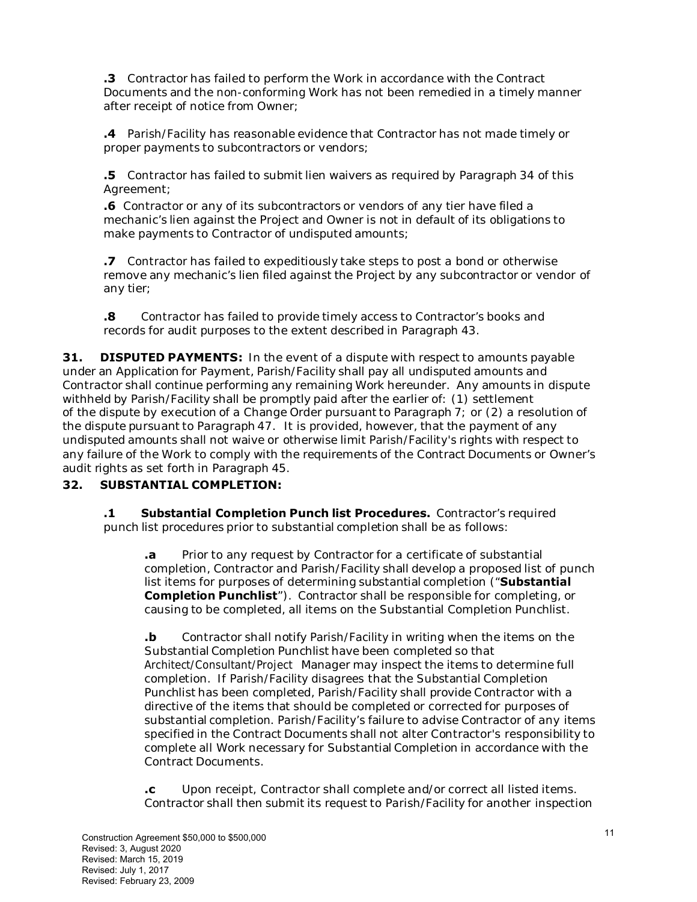**.3** Contractor has failed to perform the Work in accordance with the Contract Documents and the non-conforming Work has not been remedied in a timely manner after receipt of notice from Owner;

**.4** Parish/Facility has reasonable evidence that Contractor has not made timely or proper payments to subcontractors or vendors;

**.5** Contractor has failed to submit lien waivers as required by Paragraph 34 of this Agreement;

**.6** Contractor or any of its subcontractors or vendors of any tier have filed a mechanic's lien against the Project and Owner is not in default of its obligations to make payments to Contractor of undisputed amounts;

**.7** Contractor has failed to expeditiously take steps to post a bond or otherwise remove any mechanic's lien filed against the Project by any subcontractor or vendor of any tier;

**.8** Contractor has failed to provide timely access to Contractor's books and records for audit purposes to the extent described in Paragraph 43.

**31. DISPUTED PAYMENTS:** In the event of a dispute with respect to amounts payable under an Application for Payment, Parish/Facility shall pay all undisputed amounts and Contractor shall continue performing any remaining Work hereunder. Any amounts in dispute withheld by Parish/Facility shall be promptly paid after the earlier of: (1) settlement of the dispute by execution of a Change Order pursuant to Paragraph 7; or (2) a resolution of the dispute pursuant to Paragraph 47. It is provided, however, that the payment of any undisputed amounts shall not waive or otherwise limit Parish/Facility's rights with respect to any failure of the Work to comply with the requirements of the Contract Documents or Owner's audit rights as set forth in Paragraph 45.

### **32. SUBSTANTIAL COMPLETION:**

**.1 Substantial Completion Punch list Procedures.** Contractor's required punch list procedures prior to substantial completion shall be as follows:

**.a** Prior to any request by Contractor for a certificate of substantial completion, Contractor and Parish/Facility shall develop a proposed list of punch list items for purposes of determining substantial completion ("**Substantial Completion Punchlist**"). Contractor shall be responsible for completing, or causing to be completed, all items on the Substantial Completion Punchlist.

**.b** Contractor shall notify Parish/Facility in writing when the items on the Substantial Completion Punchlist have been completed so that Architect/Consultant/Project Manager may inspect the items to determine full completion. If Parish/Facility disagrees that the Substantial Completion Punchlist has been completed, Parish/Facility shall provide Contractor with a directive of the items that should be completed or corrected for purposes of substantial completion. Parish/Facility's failure to advise Contractor of any items specified in the Contract Documents shall not alter Contractor's responsibility to complete all Work necessary for Substantial Completion in accordance with the Contract Documents.

**.c** Upon receipt, Contractor shall complete and/or correct all listed items. Contractor shall then submit its request to Parish/Facility for another inspection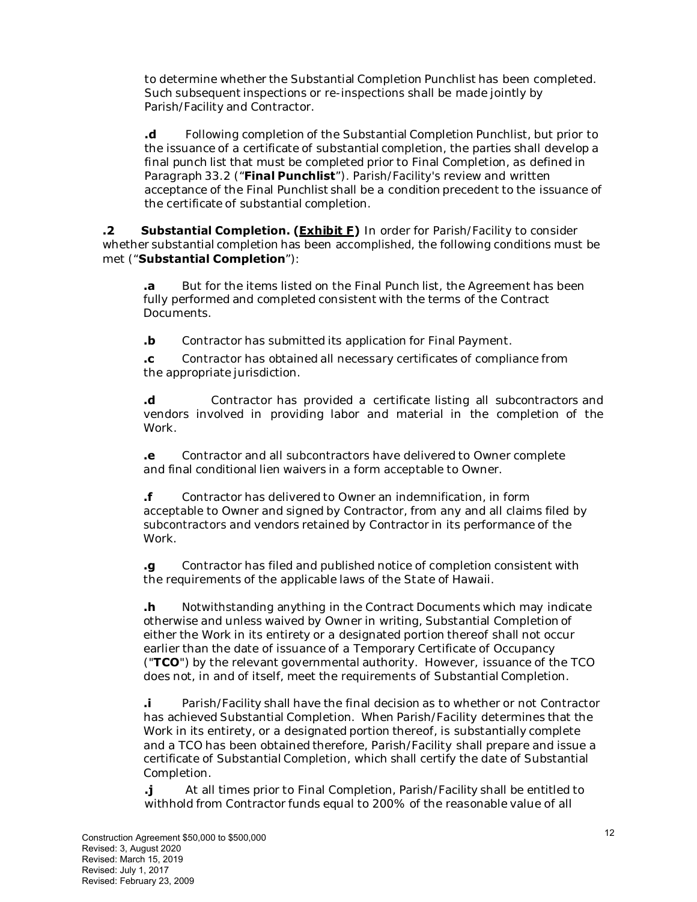to determine whether the Substantial Completion Punchlist has been completed. Such subsequent inspections or re-inspections shall be made jointly by Parish/Facility and Contractor.

**.d** Following completion of the Substantial Completion Punchlist, but prior to the issuance of a certificate of substantial completion, the parties shall develop a final punch list that must be completed prior to Final Completion, as defined in Paragraph 33.2 ("**Final Punchlist**"). Parish/Facility's review and written acceptance of the Final Punchlist shall be a condition precedent to the issuance of the certificate of substantial completion.

**2 Substantial Completion. (Exhibit F)** In order for Parish/Facility to consider whether substantial completion has been accomplished, the following conditions must be met ("**Substantial Completion**"):

**a** But for the items listed on the Final Punch list, the Agreement has been fully performed and completed consistent with the terms of the Contract Documents.

**.b** Contractor has submitted its application for Final Payment.

**.c** Contractor has obtained all necessary certificates of compliance from the appropriate jurisdiction.

**.d** Contractor has provided a certificate listing all subcontractors and vendors involved in providing labor and material in the completion of the Work.

**.e** Contractor and all subcontractors have delivered to Owner complete and final conditional lien waivers in a form acceptable to Owner.

**.f** Contractor has delivered to Owner an indemnification, in form acceptable to Owner and signed by Contractor, from any and all claims filed by subcontractors and vendors retained by Contractor in its performance of the Work.

**.g** Contractor has filed and published notice of completion consistent with the requirements of the applicable laws of the State of Hawaii.

**.h** Notwithstanding anything in the Contract Documents which may indicate otherwise and unless waived by Owner in writing, Substantial Completion of either the Work in its entirety or a designated portion thereof shall not occur earlier than the date of issuance of a Temporary Certificate of Occupancy ("**TCO**") by the relevant governmental authority. However, issuance of the TCO does not, in and of itself, meet the requirements of Substantial Completion.

**.i** Parish/Facility shall have the final decision as to whether or not Contractor has achieved Substantial Completion. When Parish/Facility determines that the Work in its entirety, or a designated portion thereof, is substantially complete and a TCO has been obtained therefore, Parish/Facility shall prepare and issue a certificate of Substantial Completion, which shall certify the date of Substantial Completion.

**.j** At all times prior to Final Completion, Parish/Facility shall be entitled to withhold from Contractor funds equal to 200% of the reasonable value of all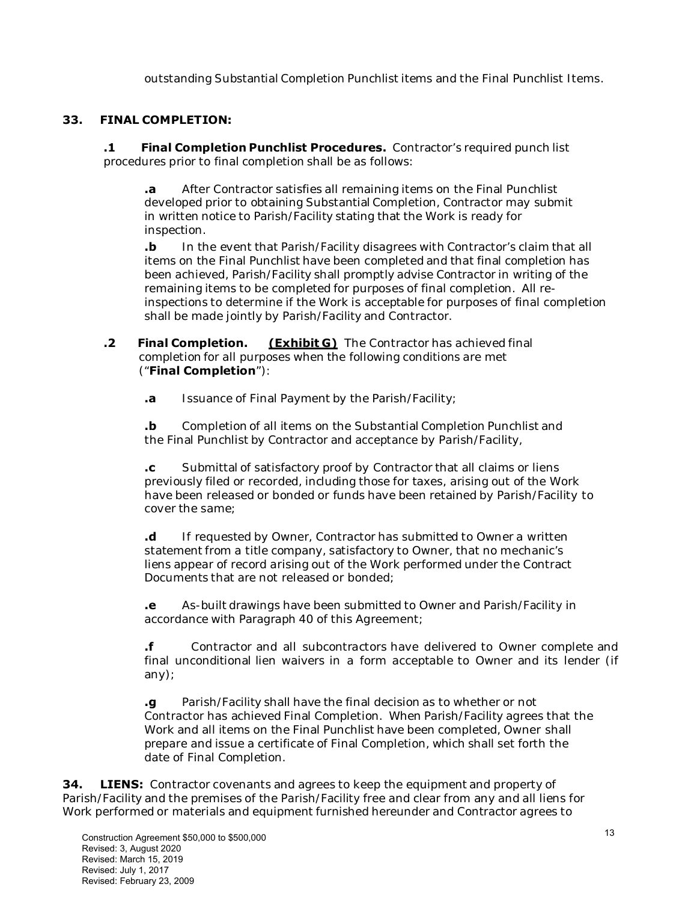outstanding Substantial Completion Punchlist items and the Final Punchlist Items.

#### **33. FINAL COMPLETION:**

**.1 Final Completion Punchlist Procedures.** Contractor's required punch list procedures prior to final completion shall be as follows:

**.a** After Contractor satisfies all remaining items on the Final Punchlist developed prior to obtaining Substantial Completion, Contractor may submit in written notice to Parish/Facility stating that the Work is ready for inspection.

**.b** In the event that Parish/Facility disagrees with Contractor's claim that all items on the Final Punchlist have been completed and that final completion has been achieved, Parish/Facility shall promptly advise Contractor in writing of the remaining items to be completed for purposes of final completion. All reinspections to determine if the Work is acceptable for purposes of final completion shall be made jointly by Parish/Facility and Contractor.

**.2 Final Completion. (Exhibit G)** The Contractor has achieved final completion for all purposes when the following conditions are met ("**Final Completion**"):

**.a** Issuance of Final Payment by the Parish/Facility;

**.b** Completion of all items on the Substantial Completion Punchlist and the Final Punchlist by Contractor and acceptance by Parish/Facility,

**.c** Submittal of satisfactory proof by Contractor that all claims or liens previously filed or recorded, including those for taxes, arising out of the Work have been released or bonded or funds have been retained by Parish/Facility to cover the same;

**.d** If requested by Owner, Contractor has submitted to Owner a written statement from a title company, satisfactory to Owner, that no mechanic's liens appear of record arising out of the Work performed under the Contract Documents that are not released or bonded;

**.e** As-built drawings have been submitted to Owner and Parish/Facility in accordance with Paragraph 40 of this Agreement;

**.f** Contractor and all subcontractors have delivered to Owner complete and final unconditional lien waivers in a form acceptable to Owner and its lender (if any);

**.g** Parish/Facility shall have the final decision as to whether or not Contractor has achieved Final Completion. When Parish/Facility agrees that the Work and all items on the Final Punchlist have been completed, Owner shall prepare and issue a certificate of Final Completion, which shall set forth the date of Final Completion.

**34. LIENS:** Contractor covenants and agrees to keep the equipment and property of Parish/Facility and the premises of the Parish/Facility free and clear from any and all liens for Work performed or materials and equipment furnished hereunder and Contractor agrees to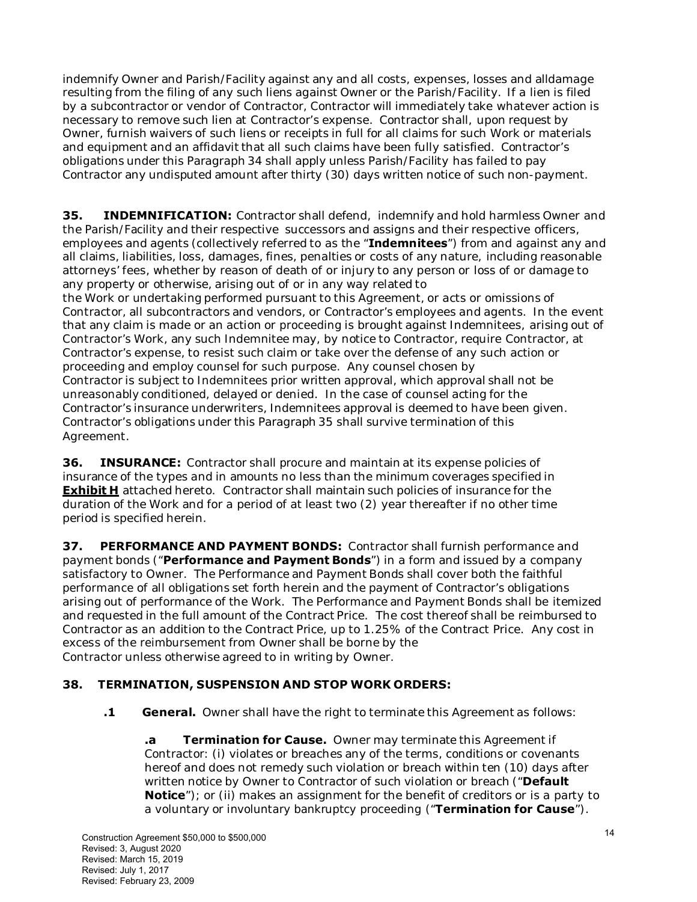indemnify Owner and Parish/Facility against any and all costs, expenses, losses and alldamage resulting from the filing of any such liens against Owner or the Parish/Facility. If a lien is filed by a subcontractor or vendor of Contractor, Contractor will immediately take whatever action is necessary to remove such lien at Contractor's expense. Contractor shall, upon request by Owner, furnish waivers of such liens or receipts in full for all claims for such Work or materials and equipment and an affidavit that all such claims have been fully satisfied. Contractor's obligations under this Paragraph 34 shall apply unless Parish/Facility has failed to pay Contractor any undisputed amount after thirty (30) days written notice of such non-payment.

**35. INDEMNIFICATION:** Contractor shall defend, indemnify and hold harmless Owner and the Parish/Facility and their respective successors and assigns and their respective officers, employees and agents (collectively referred to as the "**Indemnitees**") from and against any and all claims, liabilities, loss, damages, fines, penalties or costs of any nature, including reasonable attorneys' fees, whether by reason of death of or injury to any person or loss of or damage to any property or otherwise, arising out of or in any way related to the Work or undertaking performed pursuant to this Agreement, or acts or omissions of Contractor, all subcontractors and vendors, or Contractor's employees and agents. In the event that any claim is made or an action or proceeding is brought against Indemnitees, arising out of Contractor's Work, any such Indemnitee may, by notice to Contractor, require Contractor, at Contractor's expense, to resist such claim or take over the defense of any such action or proceeding and employ counsel for such purpose. Any counsel chosen by Contractor is subject to Indemnitees prior written approval, which approval shall not be unreasonably conditioned, delayed or denied. In the case of counsel acting for the Contractor's insurance underwriters, Indemnitees approval is deemed to have been given. Contractor's obligations under this Paragraph 35 shall survive termination of this Agreement.

**36. INSURANCE:** Contractor shall procure and maintain at its expense policies of insurance of the types and in amounts no less than the minimum coverages specified in **Exhibit H** attached hereto. Contractor shall maintain such policies of insurance for the duration of the Work and for a period of at least two (2) year thereafter if no other time period is specified herein.

**37. PERFORMANCE AND PAYMENT BONDS:** Contractor shall furnish performance and payment bonds ("**Performance and Payment Bonds**") in a form and issued by a company satisfactory to Owner. The Performance and Payment Bonds shall cover both the faithful performance of all obligations set forth herein and the payment of Contractor's obligations arising out of performance of the Work. The Performance and Payment Bonds shall be itemized and requested in the full amount of the Contract Price. The cost thereof shall be reimbursed to Contractor as an addition to the Contract Price, up to 1.25% of the Contract Price. Any cost in excess of the reimbursement from Owner shall be borne by the Contractor unless otherwise agreed to in writing by Owner.

#### **38. TERMINATION, SUSPENSION AND STOP WORK ORDERS:**

**1 General.** Owner shall have the right to terminate this Agreement as follows:

**.a Termination for Cause.** Owner may terminate this Agreement if Contractor: (i) violates or breaches any of the terms, conditions or covenants hereof and does not remedy such violation or breach within ten (10) days after written notice by Owner to Contractor of such violation or breach ("**Default Notice**"); or (ii) makes an assignment for the benefit of creditors or is a party to a voluntary or involuntary bankruptcy proceeding ("**Termination for Cause**").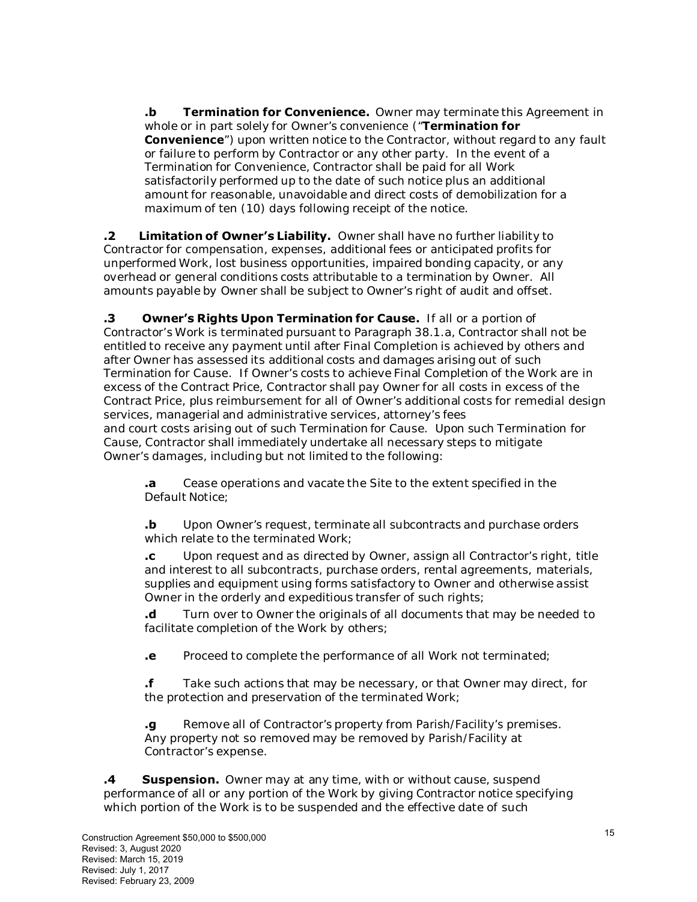**.b Termination for Convenience.** Owner may terminate this Agreement in whole or in part solely for Owner's convenience ("**Termination for Convenience**") upon written notice to the Contractor, without regard to any fault or failure to perform by Contractor or any other party. In the event of a Termination for Convenience, Contractor shall be paid for all Work satisfactorily performed up to the date of such notice plus an additional amount for reasonable, unavoidable and direct costs of demobilization for a maximum of ten (10) days following receipt of the notice.

**.2 Limitation of Owner's Liability.** Owner shall have no further liability to Contractor for compensation, expenses, additional fees or anticipated profits for unperformed Work, lost business opportunities, impaired bonding capacity, or any overhead or general conditions costs attributable to a termination by Owner. All amounts payable by Owner shall be subject to Owner's right of audit and offset.

**.3 Owner's Rights Upon Termination for Cause.** If all or a portion of Contractor's Work is terminated pursuant to Paragraph 38.1.a, Contractor shall not be entitled to receive any payment until after Final Completion is achieved by others and after Owner has assessed its additional costs and damages arising out of such Termination for Cause. If Owner's costs to achieve Final Completion of the Work are in excess of the Contract Price, Contractor shall pay Owner for all costs in excess of the Contract Price, plus reimbursement for all of Owner's additional costs for remedial design services, managerial and administrative services, attorney's fees and court costs arising out of such Termination for Cause. Upon such Termination for Cause, Contractor shall immediately undertake all necessary steps to mitigate Owner's damages, including but not limited to the following:

**.a** Cease operations and vacate the Site to the extent specified in the Default Notice;

**.b** Upon Owner's request, terminate all subcontracts and purchase orders which relate to the terminated Work;

**.c** Upon request and as directed by Owner, assign all Contractor's right, title and interest to all subcontracts, purchase orders, rental agreements, materials, supplies and equipment using forms satisfactory to Owner and otherwise assist Owner in the orderly and expeditious transfer of such rights;

**.d** Turn over to Owner the originals of all documents that may be needed to facilitate completion of the Work by others;

**.e** Proceed to complete the performance of all Work not terminated;

**.f** Take such actions that may be necessary, or that Owner may direct, for the protection and preservation of the terminated Work;

**g** Remove all of Contractor's property from Parish/Facility's premises. Any property not so removed may be removed by Parish/Facility at Contractor's expense.

**.4 Suspension.** Owner may at any time, with or without cause, suspend performance of all or any portion of the Work by giving Contractor notice specifying which portion of the Work is to be suspended and the effective date of such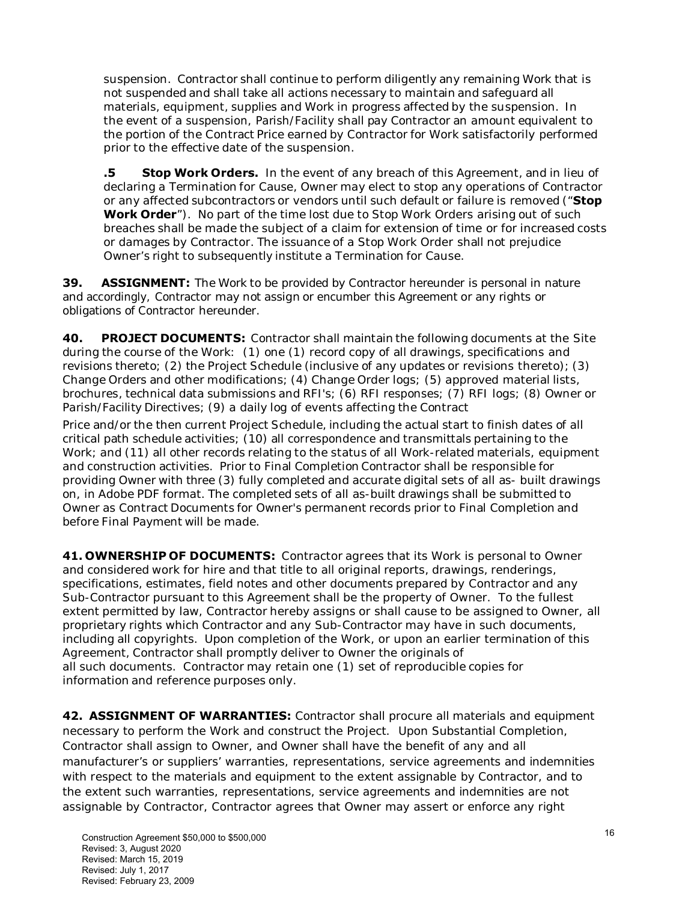suspension. Contractor shall continue to perform diligently any remaining Work that is not suspended and shall take all actions necessary to maintain and safeguard all materials, equipment, supplies and Work in progress affected by the suspension. In the event of a suspension, Parish/Facility shall pay Contractor an amount equivalent to the portion of the Contract Price earned by Contractor for Work satisfactorily performed prior to the effective date of the suspension.

**.5 Stop Work Orders.** In the event of any breach of this Agreement, and in lieu of declaring a Termination for Cause, Owner may elect to stop any operations of Contractor or any affected subcontractors or vendors until such default or failure is removed ("**Stop Work Order**"). No part of the time lost due to Stop Work Orders arising out of such breaches shall be made the subject of a claim for extension of time or for increased costs or damages by Contractor. The issuance of a Stop Work Order shall not prejudice Owner's right to subsequently institute a Termination for Cause.

**39. ASSIGNMENT:** The Work to be provided by Contractor hereunder is personal in nature and accordingly, Contractor may not assign or encumber this Agreement or any rights or obligations of Contractor hereunder.

**40. PROJECT DOCUMENTS:** Contractor shall maintain the following documents at the Site during the course of the Work: (1) one (1) record copy of all drawings, specifications and revisions thereto; (2) the Project Schedule (inclusive of any updates or revisions thereto); (3) Change Orders and other modifications; (4) Change Order logs; (5) approved material lists, brochures, technical data submissions and RFI's; (6) RFI responses; (7) RFI logs; (8) Owner or Parish/Facility Directives; (9) a daily log of events affecting the Contract

Price and/or the then current Project Schedule, including the actual start to finish dates of all critical path schedule activities; (10) all correspondence and transmittals pertaining to the Work; and (11) all other records relating to the status of all Work-related materials, equipment and construction activities. Prior to Final Completion Contractor shall be responsible for providing Owner with three (3) fully completed and accurate digital sets of all as- built drawings on, in Adobe PDF format. The completed sets of all as-built drawings shall be submitted to Owner as Contract Documents for Owner's permanent records prior to Final Completion and before Final Payment will be made.

**41. OWNERSHIP OF DOCUMENTS:** Contractor agrees that its Work is personal to Owner and considered work for hire and that title to all original reports, drawings, renderings, specifications, estimates, field notes and other documents prepared by Contractor and any Sub-Contractor pursuant to this Agreement shall be the property of Owner. To the fullest extent permitted by law, Contractor hereby assigns or shall cause to be assigned to Owner, all proprietary rights which Contractor and any Sub-Contractor may have in such documents, including all copyrights. Upon completion of the Work, or upon an earlier termination of this Agreement, Contractor shall promptly deliver to Owner the originals of all such documents. Contractor may retain one (1) set of reproducible copies for information and reference purposes only.

**42. ASSIGNMENT OF WARRANTIES:** Contractor shall procure all materials and equipment necessary to perform the Work and construct the Project. Upon Substantial Completion, Contractor shall assign to Owner, and Owner shall have the benefit of any and all manufacturer's or suppliers' warranties, representations, service agreements and indemnities with respect to the materials and equipment to the extent assignable by Contractor, and to the extent such warranties, representations, service agreements and indemnities are not assignable by Contractor, Contractor agrees that Owner may assert or enforce any right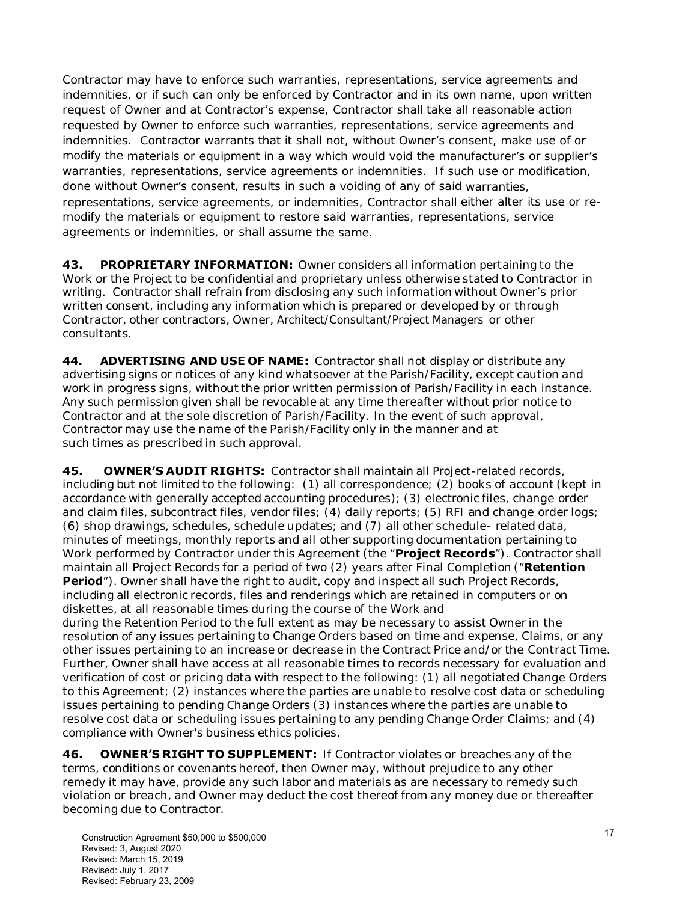Contractor may have to enforce such warranties, representations, service agreements and indemnities, or if such can only be enforced by Contractor and in its own name, upon written request of Owner and at Contractor's expense, Contractor shall take all reasonable action requested by Owner to enforce such warranties, representations, service agreements and indemnities. Contractor warrants that it shall not, without Owner's consent, make use of or modify the materials or equipment in a way which would void the manufacturer's or supplier's warranties, representations, service agreements or indemnities. If such use or modification, done without Owner's consent, results in such a voiding of any of said warranties, representations, service agreements, or indemnities, Contractor shall either alter its use or remodify the materials or equipment to restore said warranties, representations, service agreements or indemnities, or shall assume the same.

**43. PROPRIETARY INFORMATION:** Owner considers all information pertaining to the Work or the Project to be confidential and proprietary unless otherwise stated to Contractor in writing. Contractor shall refrain from disclosing any such information without Owner's prior written consent, including any information which is prepared or developed by or through Contractor, other contractors, Owner, Architect/Consultant/Project Managers or other consultants.

**44. ADVERTISING AND USE OF NAME:** Contractor shall not display or distribute any advertising signs or notices of any kind whatsoever at the Parish/Facility, except caution and work in progress signs, without the prior written permission of Parish/Facility in each instance. Any such permission given shall be revocable at any time thereafter without prior notice to Contractor and at the sole discretion of Parish/Facility. In the event of such approval, Contractor may use the name of the Parish/Facility only in the manner and at such times as prescribed in such approval.

**45. OWNER'S AUDIT RIGHTS:** Contractor shall maintain all Project-related records, including but not limited to the following: (1) all correspondence; (2) books of account (kept in accordance with generally accepted accounting procedures); (3) electronic files, change order and claim files, subcontract files, vendor files; (4) daily reports; (5) RFI and change order logs; (6) shop drawings, schedules, schedule updates; and (7) all other schedule- related data, minutes of meetings, monthly reports and all other supporting documentation pertaining to Work performed by Contractor under this Agreement (the "**Project Records**"). Contractor shall maintain all Project Records for a period of two (2) years after Final Completion ("**Retention**  Period"). Owner shall have the right to audit, copy and inspect all such Project Records, including all electronic records, files and renderings which are retained in computers or on diskettes, at all reasonable times during the course of the Work and during the Retention Period to the full extent as may be necessary to assist Owner in the resolution of any issues pertaining to Change Orders based on time and expense, Claims, or any other issues pertaining to an increase or decrease in the Contract Price and/or the Contract Time. Further, Owner shall have access at all reasonable times to records necessary for evaluation and verification of cost or pricing data with respect to the following: (1) all negotiated Change Orders to this Agreement; (2) instances where the parties are unable to resolve cost data or scheduling issues pertaining to pending Change Orders (3) instances where the parties are unable to resolve cost data or scheduling issues pertaining to any pending Change Order Claims; and (4) compliance with Owner's business ethics policies.

**46. OWNER'S RIGHT TO SUPPLEMENT:** If Contractor violates or breaches any of the terms, conditions or covenants hereof, then Owner may, without prejudice to any other remedy it may have, provide any such labor and materials as are necessary to remedy such violation or breach, and Owner may deduct the cost thereof from any money due or thereafter becoming due to Contractor.

Construction Agreement \$50,000 to \$500,000 Revised: 3, August 2020 Revised: March 15, 2019 Revised: July 1, 2017 Revised: February 23, 2009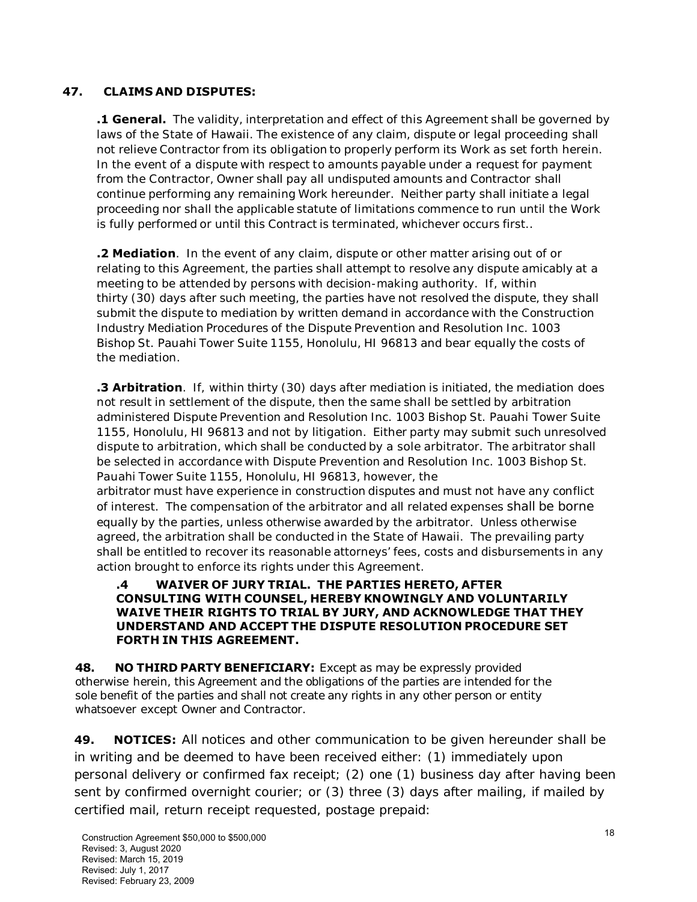#### **47. CLAIMS AND DISPUTES:**

**.1 General.** The validity, interpretation and effect of this Agreement shall be governed by laws of the State of Hawaii. The existence of any claim, dispute or legal proceeding shall not relieve Contractor from its obligation to properly perform its Work as set forth herein. In the event of a dispute with respect to amounts payable under a request for payment from the Contractor, Owner shall pay all undisputed amounts and Contractor shall continue performing any remaining Work hereunder. Neither party shall initiate a legal proceeding nor shall the applicable statute of limitations commence to run until the Work is fully performed or until this Contract is terminated, whichever occurs first..

**.2 Mediation**. In the event of any claim, dispute or other matter arising out of or relating to this Agreement, the parties shall attempt to resolve any dispute amicably at a meeting to be attended by persons with decision-making authority. If, within thirty (30) days after such meeting, the parties have not resolved the dispute, they shall submit the dispute to mediation by written demand in accordance with the Construction Industry Mediation Procedures of the Dispute Prevention and Resolution Inc. 1003 Bishop St. Pauahi Tower Suite 1155, Honolulu, HI 96813 and bear equally the costs of the mediation.

**.3 Arbitration**. If, within thirty (30) days after mediation is initiated, the mediation does not result in settlement of the dispute, then the same shall be settled by arbitration administered Dispute Prevention and Resolution Inc. 1003 Bishop St. Pauahi Tower Suite 1155, Honolulu, HI 96813 and not by litigation. Either party may submit such unresolved dispute to arbitration, which shall be conducted by a sole arbitrator. The arbitrator shall be selected in accordance with Dispute Prevention and Resolution Inc. 1003 Bishop St. Pauahi Tower Suite 1155, Honolulu, HI 96813, however, the

arbitrator must have experience in construction disputes and must not have any conflict of interest. The compensation of the arbitrator and all related expenses shall be borne equally by the parties, unless otherwise awarded by the arbitrator. Unless otherwise agreed, the arbitration shall be conducted in the State of Hawaii. The prevailing party shall be entitled to recover its reasonable attorneys' fees, costs and disbursements in any action brought to enforce its rights under this Agreement.

#### **.4 WAIVER OF JURY TRIAL. THE PARTIES HERETO, AFTER CONSULTING WITH COUNSEL, HEREBY KNOWINGLY AND VOLUNTARILY WAIVE THEIR RIGHTS TO TRIAL BY JURY, AND ACKNOWLEDGE THAT THEY UNDERSTAND AND ACCEPT THE DISPUTE RESOLUTION PROCEDURE SET FORTH IN THIS AGREEMENT.**

**48. NO THIRD PARTY BENEFICIARY:** Except as may be expressly provided otherwise herein, this Agreement and the obligations of the parties are intended for the sole benefit of the parties and shall not create any rights in any other person or entity whatsoever except Owner and Contractor.

**49. NOTICES:** All notices and other communication to be given hereunder shall be in writing and be deemed to have been received either: (1) immediately upon personal delivery or confirmed fax receipt; (2) one (1) business day after having been sent by confirmed overnight courier; or (3) three (3) days after mailing, if mailed by certified mail, return receipt requested, postage prepaid: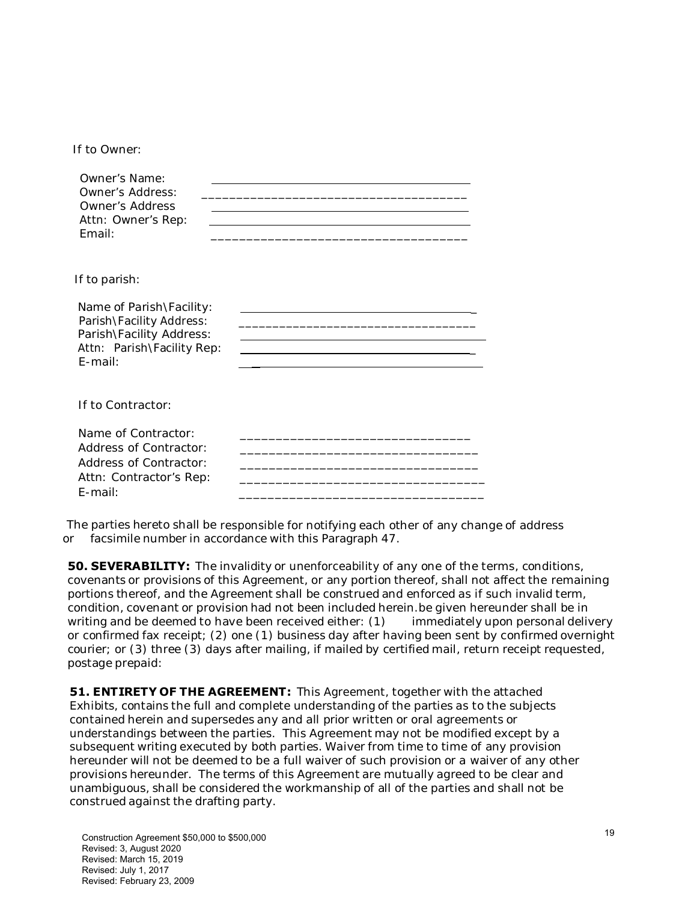If to Owner:

| Owner's Name:<br>Owner's Address:                                                                                            |  |
|------------------------------------------------------------------------------------------------------------------------------|--|
| <b>Owner's Address</b><br>Attn: Owner's Rep:                                                                                 |  |
| Email:                                                                                                                       |  |
|                                                                                                                              |  |
|                                                                                                                              |  |
| If to parish:                                                                                                                |  |
| Name of Parish\Facility:<br>Parish\Facility Address:<br>Parish\Facility Address:<br>Attn: Parish\Facility Rep:<br>$F$ -mail: |  |
| If to Contractor:                                                                                                            |  |
| Name of Contractor:                                                                                                          |  |
| Address of Contractor:                                                                                                       |  |
| Address of Contractor:                                                                                                       |  |
| Attn: Contractor's Rep:                                                                                                      |  |
| $E$ -mail:                                                                                                                   |  |

 The parties hereto shall be responsible for notifying each other of any change of address or facsimile number in accordance with this Paragraph 47.

**50. SEVERABILITY:** The invalidity or unenforceability of any one of the terms, conditions, covenants or provisions of this Agreement, or any portion thereof, shall not affect the remaining portions thereof, and the Agreement shall be construed and enforced as if such invalid term, condition, covenant or provision had not been included herein.be given hereunder shall be in writing and be deemed to have been received either: (1) immediately upon personal delivery or confirmed fax receipt; (2) one (1) business day after having been sent by confirmed overnight courier; or (3) three (3) days after mailing, if mailed by certified mail, return receipt requested, postage prepaid:

**51. ENTIRETY OF THE AGREEMENT:** This Agreement, together with the attached Exhibits, contains the full and complete understanding of the parties as to the subjects contained herein and supersedes any and all prior written or oral agreements or understandings between the parties. This Agreement may not be modified except by a subsequent writing executed by both parties. Waiver from time to time of any provision hereunder will not be deemed to be a full waiver of such provision or a waiver of any other provisions hereunder. The terms of this Agreement are mutually agreed to be clear and unambiguous, shall be considered the workmanship of all of the parties and shall not be construed against the drafting party.

Construction Agreement \$50,000 to \$500,000 Revised: 3, August 2020 Revised: March 15, 2019 Revised: July 1, 2017 Revised: February 23, 2009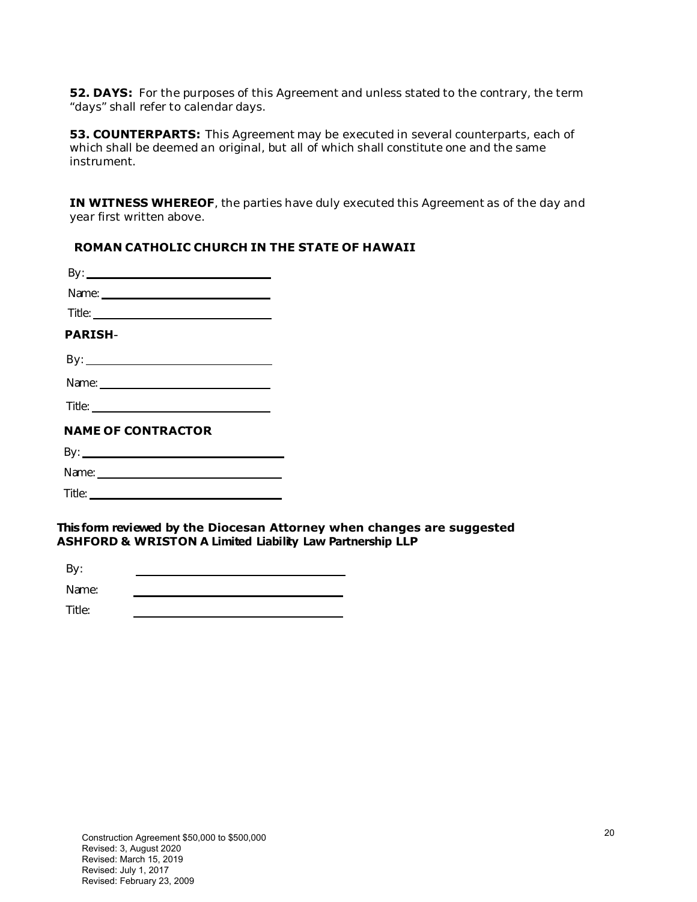**52. DAYS:** For the purposes of this Agreement and unless stated to the contrary, the term "days" shall refer to calendar days.

**53. COUNTERPARTS:** This Agreement may be executed in several counterparts, each of which shall be deemed an original, but all of which shall constitute one and the same instrument.

**IN WITNESS WHEREOF**, the parties have duly executed this Agreement as of the day and year first written above.

#### **ROMAN CATHOLIC CHURCH IN THE STATE OF HAWAII**

| <b>PARISH-</b>            |  |
|---------------------------|--|
|                           |  |
|                           |  |
|                           |  |
| <b>NAME OF CONTRACTOR</b> |  |
|                           |  |
|                           |  |
|                           |  |

#### **This form reviewed by the Diocesan Attorney when changes are suggested ASHFORD & WRISTON A Limited Liability Law Partnership LLP**

By: Name:

| Title: |  |  |
|--------|--|--|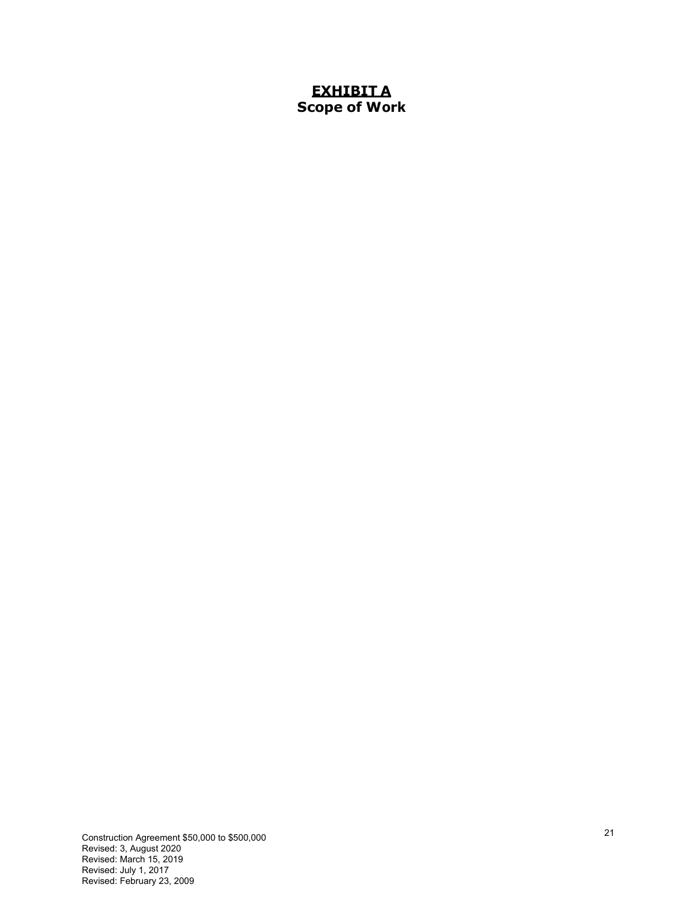# **EXHIBIT A Scope of Work**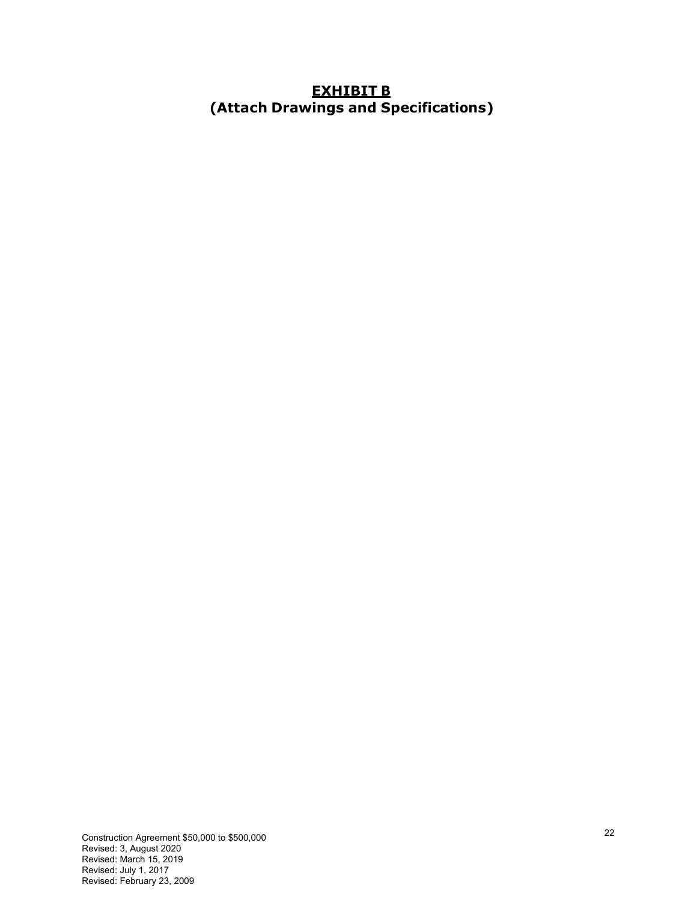# **EXHIBIT B (Attach Drawings and Specifications)**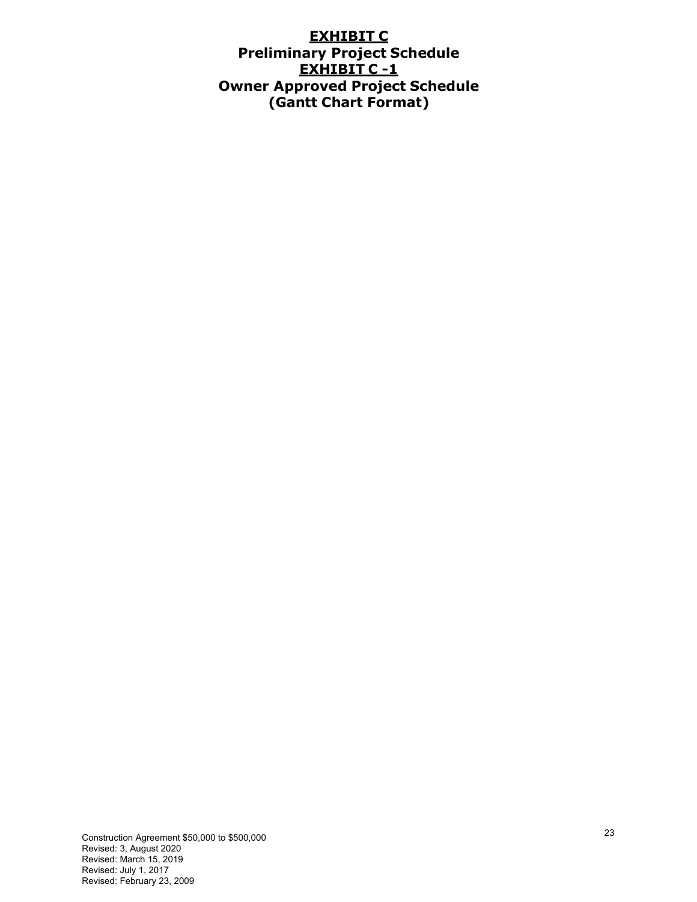**EXHIBIT C Preliminary Project Schedule EXHIBIT C -1 Owner Approved Project Schedule (Gantt Chart Format)**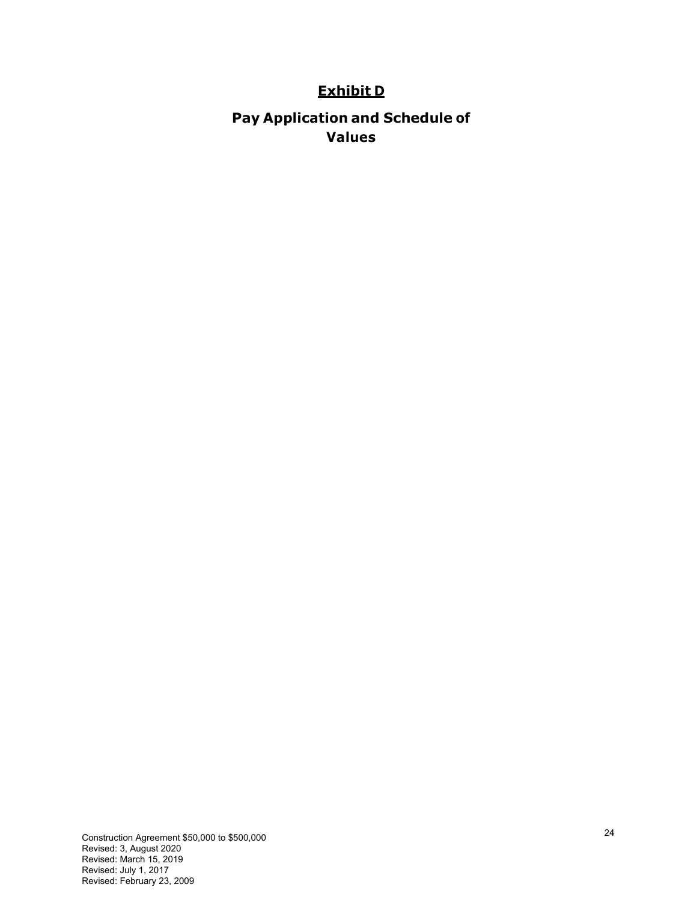# **Exhibit D**

**Pay Application and Schedule of Values**

Construction Agreement \$50,000 to \$500,000 Revised: 3, August 2020 Revised: March 15, 2019 Revised: July 1, 2017 Revised: February 23, 2009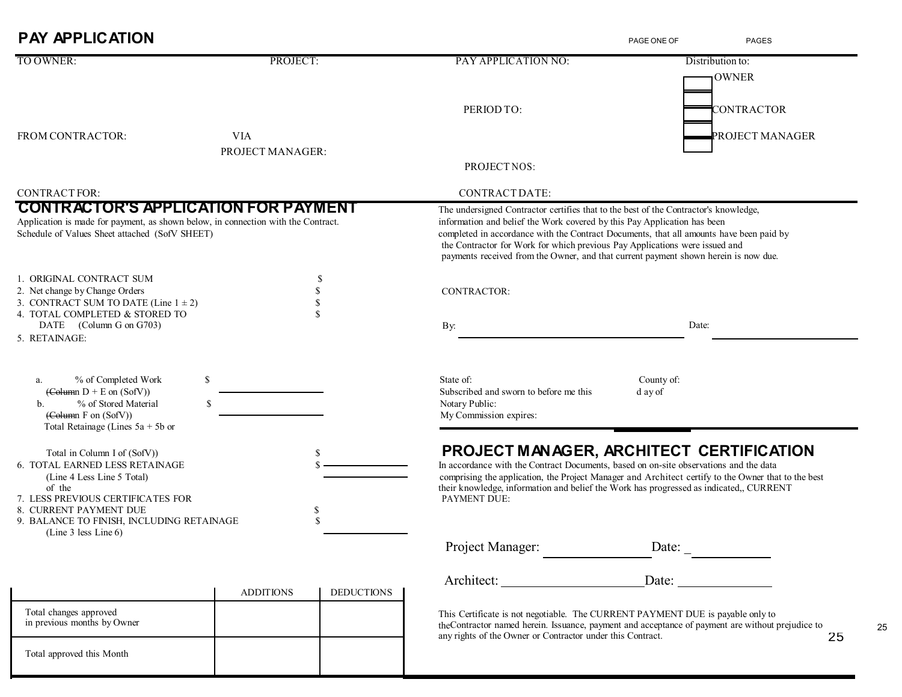| <b>PAY APPLICATION</b>                                                                                                                                                                                                    |                                       |                                                                                                                                                                                                                                                                                                                                                                                                                                   | <b>PAGES</b><br>PAGE ONE OF      |
|---------------------------------------------------------------------------------------------------------------------------------------------------------------------------------------------------------------------------|---------------------------------------|-----------------------------------------------------------------------------------------------------------------------------------------------------------------------------------------------------------------------------------------------------------------------------------------------------------------------------------------------------------------------------------------------------------------------------------|----------------------------------|
| TO OWNER:                                                                                                                                                                                                                 | PROJECT:                              | PAY APPLICATION NO:                                                                                                                                                                                                                                                                                                                                                                                                               | Distribution to:<br><b>OWNER</b> |
|                                                                                                                                                                                                                           |                                       | PERIOD TO:                                                                                                                                                                                                                                                                                                                                                                                                                        | CONTRACTOR                       |
| FROM CONTRACTOR:                                                                                                                                                                                                          | <b>VIA</b><br>PROJECT MANAGER:        |                                                                                                                                                                                                                                                                                                                                                                                                                                   | PROJECT MANAGER                  |
|                                                                                                                                                                                                                           |                                       | PROJECT NOS:                                                                                                                                                                                                                                                                                                                                                                                                                      |                                  |
| <b>CONTRACT FOR:</b>                                                                                                                                                                                                      |                                       | CONTRACT DATE:                                                                                                                                                                                                                                                                                                                                                                                                                    |                                  |
| <b>CONTRACTOR'S APPLICATION FOR PAYMENT</b><br>Application is made for payment, as shown below, in connection with the Contract.<br>Schedule of Values Sheet attached (SofV SHEET)                                        |                                       | The undersigned Contractor certifies that to the best of the Contractor's knowledge,<br>information and belief the Work covered by this Pay Application has been<br>completed in accordance with the Contract Documents, that all amounts have been paid by<br>the Contractor for Work for which previous Pay Applications were issued and<br>payments received from the Owner, and that current payment shown herein is now due. |                                  |
| 1. ORIGINAL CONTRACT SUM<br>2. Net change by Change Orders<br>3. CONTRACT SUM TO DATE (Line $1 \pm 2$ )<br>4. TOTAL COMPLETED & STORED TO                                                                                 | S                                     | CONTRACTOR:                                                                                                                                                                                                                                                                                                                                                                                                                       |                                  |
| DATE (Column G on G703)<br>5. RETAINAGE:                                                                                                                                                                                  |                                       | By:                                                                                                                                                                                                                                                                                                                                                                                                                               | Date:                            |
| $\mathbb{S}$<br>% of Completed Work<br>a.<br>$\left(\text{Column } D + E \text{ on } (SofV)\right)$<br>% of Stored Material<br>S<br>b.<br>(Column F on (SofV))<br>Total Retainage (Lines $5a + 5b$ or                     |                                       | State of:<br>Subscribed and sworn to before me this<br>Notary Public:<br>My Commission expires:                                                                                                                                                                                                                                                                                                                                   | County of:<br>d ay of            |
| Total in Column I of (SofV))<br><b>6. TOTAL EARNED LESS RETAINAGE</b><br>(Line 4 Less Line 5 Total)<br>of the<br>7. LESS PREVIOUS CERTIFICATES FOR<br>8. CURRENT PAYMENT DUE<br>9. BALANCE TO FINISH, INCLUDING RETAINAGE | <sup>\$</sup><br>\$<br><sup>\$</sup>  | PROJECT MANAGER, ARCHITECT CERTIFICATION<br>In accordance with the Contract Documents, based on on-site observations and the data<br>comprising the application, the Project Manager and Architect certify to the Owner that to the best<br>their knowledge, information and belief the Work has progressed as indicated,, CURRENT<br><b>PAYMENT DUE:</b>                                                                         |                                  |
| (Line 3 less Line 6)                                                                                                                                                                                                      |                                       | Project Manager:                                                                                                                                                                                                                                                                                                                                                                                                                  | Date:                            |
|                                                                                                                                                                                                                           | <b>ADDITIONS</b><br><b>DEDUCTIONS</b> | Architect:                                                                                                                                                                                                                                                                                                                                                                                                                        | Date:                            |
| Total changes approved<br>in previous months by Owner                                                                                                                                                                     |                                       | This Certificate is not negotiable. The CURRENT PAYMENT DUE is payable only to<br>the Contractor named herein. Issuance, payment and acceptance of payment are without prejudice to<br>any rights of the Owner or Contractor under this Contract.                                                                                                                                                                                 | 25                               |

Total approved this Month

25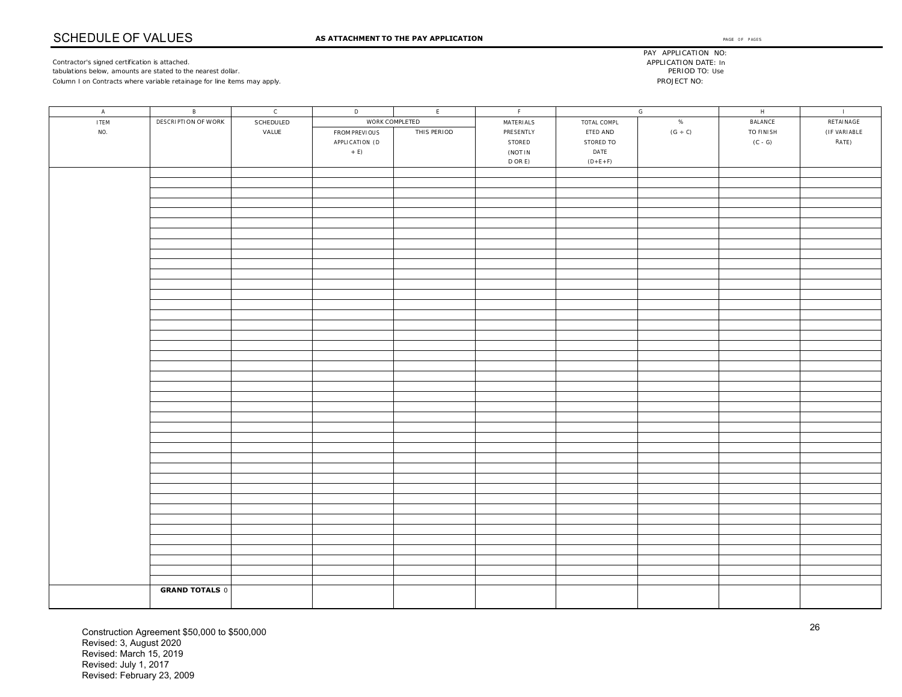#### **SCHEDULE OF VALUES** AS ATTACHMENT TO THE PAY APPLICATION **BOOK OF SUBSEX OF PAGE OF PAGES**

Contractor's signed certification is attached.

tabulations below, amounts are stated to the nearest dollar. Column I on Contracts where variable retainage for line items may apply.

PAY APPLICATION NO: APPLICATION DATE: In PERIOD TO: Use PROJECT NO:

| A           | $\overline{B}$ . But the state $\overline{B}$ | $\mathbf{C}$ | $\mathsf{D}$ and $\mathsf{D}$ and $\mathsf{D}$ | $E = 1$     | F         |             | G                                    | H                                     | and the      |
|-------------|-----------------------------------------------|--------------|------------------------------------------------|-------------|-----------|-------------|--------------------------------------|---------------------------------------|--------------|
| <b>ITEM</b> | <b>DESCRIPTION OF WORK</b>                    | SCHEDULED    | WORK COMPLETED                                 |             | MATERIALS | TOTAL COMPL | %                                    | BALANCE                               | RETAINAGE    |
| NO.         |                                               | VALUE        | FROM PREVIOUS                                  | THIS PERIOD | PRESENTLY | ETED AND    | $(\mathsf{G} \, \div \, \mathsf{C})$ | TO FINISH                             | (IF VARIABLE |
|             |                                               |              | APPLICATION (D                                 |             | STORED    | STORED TO   |                                      | $(\mathsf{C} \, \cdot \, \mathsf{G})$ | RATE)        |
|             |                                               |              |                                                |             |           |             |                                      |                                       |              |
|             |                                               |              | $+ E$                                          |             | (NOT IN   | DATE        |                                      |                                       |              |
|             |                                               |              |                                                |             | D OR E)   | $(D+E+F)$   |                                      |                                       |              |
|             |                                               |              |                                                |             |           |             |                                      |                                       |              |
|             |                                               |              |                                                |             |           |             |                                      |                                       |              |
|             |                                               |              |                                                |             |           |             |                                      |                                       |              |
|             |                                               |              |                                                |             |           |             |                                      |                                       |              |
|             |                                               |              |                                                |             |           |             |                                      |                                       |              |
|             |                                               |              |                                                |             |           |             |                                      |                                       |              |
|             |                                               |              |                                                |             |           |             |                                      |                                       |              |
|             |                                               |              |                                                |             |           |             |                                      |                                       |              |
|             |                                               |              |                                                |             |           |             |                                      |                                       |              |
|             |                                               |              |                                                |             |           |             |                                      |                                       |              |
|             |                                               |              |                                                |             |           |             |                                      |                                       |              |
|             |                                               |              |                                                |             |           |             |                                      |                                       |              |
|             |                                               |              |                                                |             |           |             |                                      |                                       |              |
|             |                                               |              |                                                |             |           |             |                                      |                                       |              |
|             |                                               |              |                                                |             |           |             |                                      |                                       |              |
|             |                                               |              |                                                |             |           |             |                                      |                                       |              |
|             |                                               |              |                                                |             |           |             |                                      |                                       |              |
|             |                                               |              |                                                |             |           |             |                                      |                                       |              |
|             |                                               |              |                                                |             |           |             |                                      |                                       |              |
|             |                                               |              |                                                |             |           |             |                                      |                                       |              |
|             |                                               |              |                                                |             |           |             |                                      |                                       |              |
|             |                                               |              |                                                |             |           |             |                                      |                                       |              |
|             |                                               |              |                                                |             |           |             |                                      |                                       |              |
|             |                                               |              |                                                |             |           |             |                                      |                                       |              |
|             |                                               |              |                                                |             |           |             |                                      |                                       |              |
|             |                                               |              |                                                |             |           |             |                                      |                                       |              |
|             |                                               |              |                                                |             |           |             |                                      |                                       |              |
|             |                                               |              |                                                |             |           |             |                                      |                                       |              |
|             |                                               |              |                                                |             |           |             |                                      |                                       |              |
|             |                                               |              |                                                |             |           |             |                                      |                                       |              |
|             |                                               |              |                                                |             |           |             |                                      |                                       |              |
|             |                                               |              |                                                |             |           |             |                                      |                                       |              |
|             |                                               |              |                                                |             |           |             |                                      |                                       |              |
|             |                                               |              |                                                |             |           |             |                                      |                                       |              |
|             |                                               |              |                                                |             |           |             |                                      |                                       |              |
|             |                                               |              |                                                |             |           |             |                                      |                                       |              |
|             |                                               |              |                                                |             |           |             |                                      |                                       |              |
|             |                                               |              |                                                |             |           |             |                                      |                                       |              |
|             |                                               |              |                                                |             |           |             |                                      |                                       |              |
|             |                                               |              |                                                |             |           |             |                                      |                                       |              |
|             |                                               |              |                                                |             |           |             |                                      |                                       |              |
|             |                                               |              |                                                |             |           |             |                                      |                                       |              |
|             |                                               |              |                                                |             |           |             |                                      |                                       |              |
|             |                                               |              |                                                |             |           |             |                                      |                                       |              |
|             |                                               |              |                                                |             |           |             |                                      |                                       |              |
|             |                                               |              |                                                |             |           |             |                                      |                                       |              |
|             | <b>GRAND TOTALS 0</b>                         |              |                                                |             |           |             |                                      |                                       |              |
|             |                                               |              |                                                |             |           |             |                                      |                                       |              |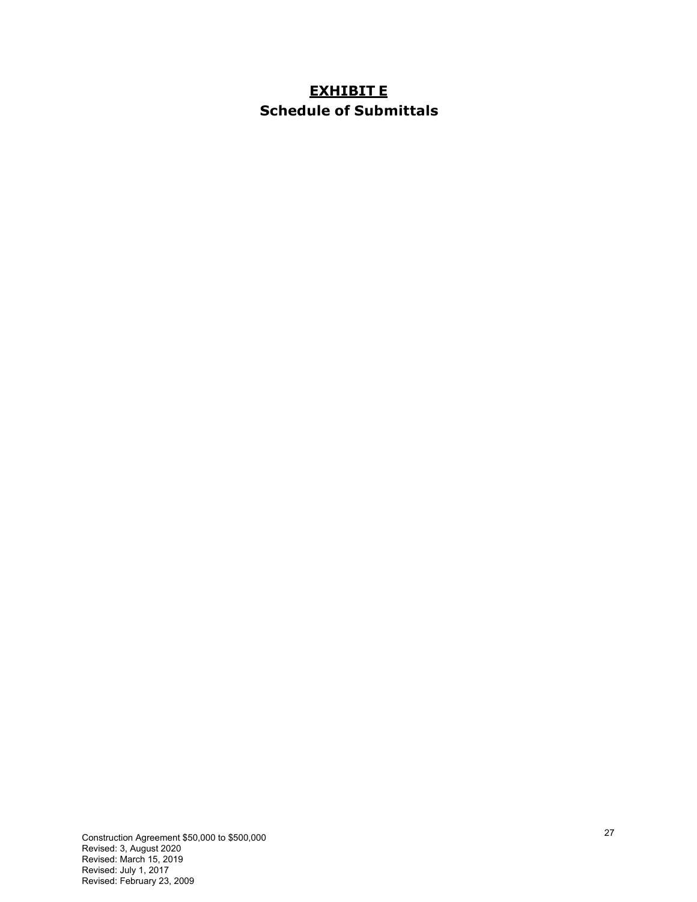# **EXHIBIT E Schedule of Submittals**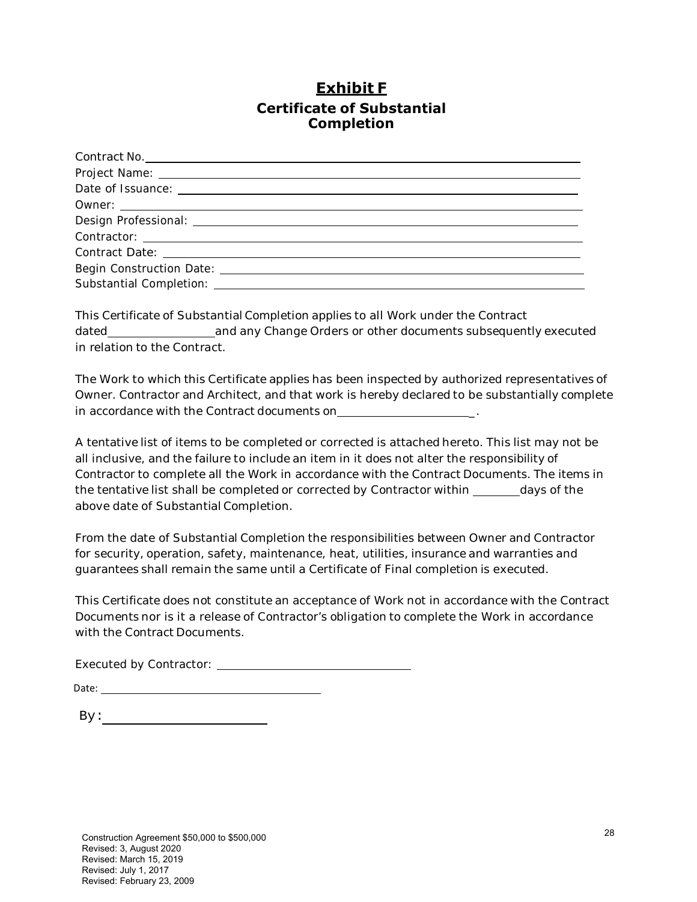# **Exhibit F Certificate of Substantial Completion**

| Date of Issuance: <u>example and the set of the set of the set of the set of the set of the set of the set of the set of the set of the set of the set of the set of the set of the set of the set of the set of the set of the </u> |
|--------------------------------------------------------------------------------------------------------------------------------------------------------------------------------------------------------------------------------------|
|                                                                                                                                                                                                                                      |
|                                                                                                                                                                                                                                      |
|                                                                                                                                                                                                                                      |
|                                                                                                                                                                                                                                      |
|                                                                                                                                                                                                                                      |
|                                                                                                                                                                                                                                      |

This Certificate of Substantial Completion applies to all Work under the Contract dated and any Change Orders or other documents subsequently executed in relation to the Contract.

The Work to which this Certificate applies has been inspected by authorized representatives of Owner. Contractor and Architect, and that work is hereby declared to be substantially complete in accordance with the Contract documents on

A tentative list of items to be completed or corrected is attached hereto. This list may not be all inclusive, and the failure to include an item in it does not alter the responsibility of Contractor to complete all the Work in accordance with the Contract Documents. The items in the tentative list shall be completed or corrected by Contractor within \_\_\_\_\_\_\_\_ days of the above date of Substantial Completion.

From the date of Substantial Completion the responsibilities between Owner and Contractor for security, operation, safety, maintenance, heat, utilities, insurance and warranties and guarantees shall remain the same until a Certificate of Final completion is executed.

This Certificate does not constitute an acceptance of Work not in accordance with the Contract Documents nor is it a release of Contractor's obligation to complete the Work in accordance with the Contract Documents.

Executed by Contractor:

By: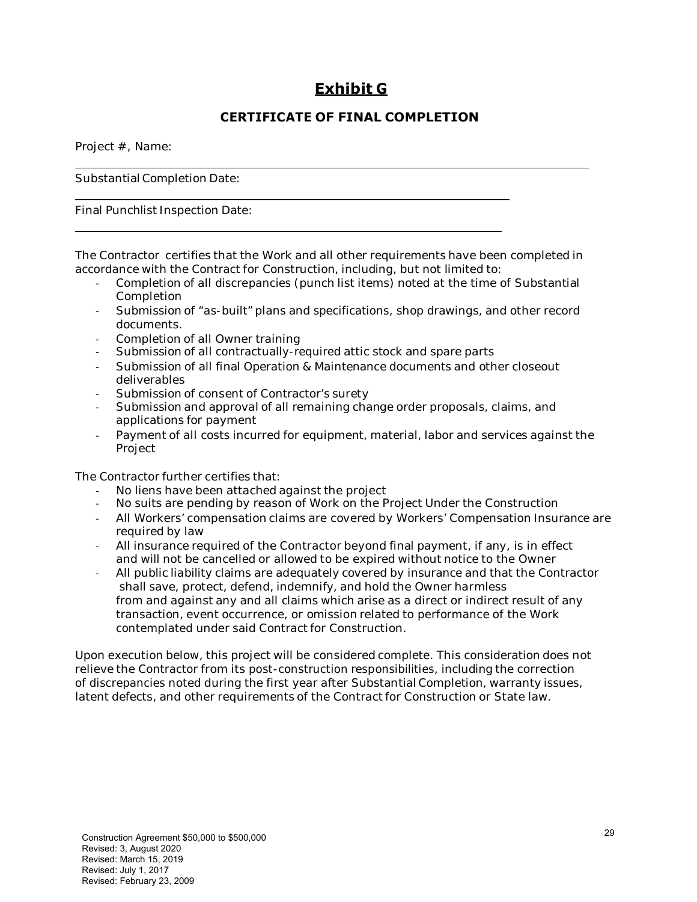# **Exhibit G**

## **CERTIFICATE OF FINAL COMPLETION**

Project #, Name:

Substantial Completion Date:

Final Punchlist Inspection Date:

The Contractor certifies that the Work and all other requirements have been completed in accordance with the Contract for Construction, including, but not limited to:

- ‐ Completion of all discrepancies (punch list items) noted at the time of Substantial Completion
- ‐ Submission of "as-built" plans and specifications, shop drawings, and other record documents.
- ‐ Completion of all Owner training
- Submission of all contractually-required attic stock and spare parts
- ‐ Submission of all final Operation & Maintenance documents and other closeout deliverables
- Submission of consent of Contractor's surety
- Submission and approval of all remaining change order proposals, claims, and applications for payment
- ‐ Payment of all costs incurred for equipment, material, labor and services against the Project

The Contractor further certifies that:

- No liens have been attached against the project
- ‐ No suits are pending by reason of Work on the Project Under the Construction
- ‐ All Workers' compensation claims are covered by Workers' Compensation Insurance are required by law
- All insurance required of the Contractor beyond final payment, if any, is in effect and will not be cancelled or allowed to be expired without notice to the Owner
- ‐ All public liability claims are adequately covered by insurance and that the Contractor shall save, protect, defend, indemnify, and hold the Owner harmless from and against any and all claims which arise as a direct or indirect result of any transaction, event occurrence, or omission related to performance of the Work contemplated under said Contract for Construction.

Upon execution below, this project will be considered complete. This consideration does not relieve the Contractor from its post-construction responsibilities, including the correction of discrepancies noted during the first year after Substantial Completion, warranty issues, latent defects, and other requirements of the Contract for Construction or State law.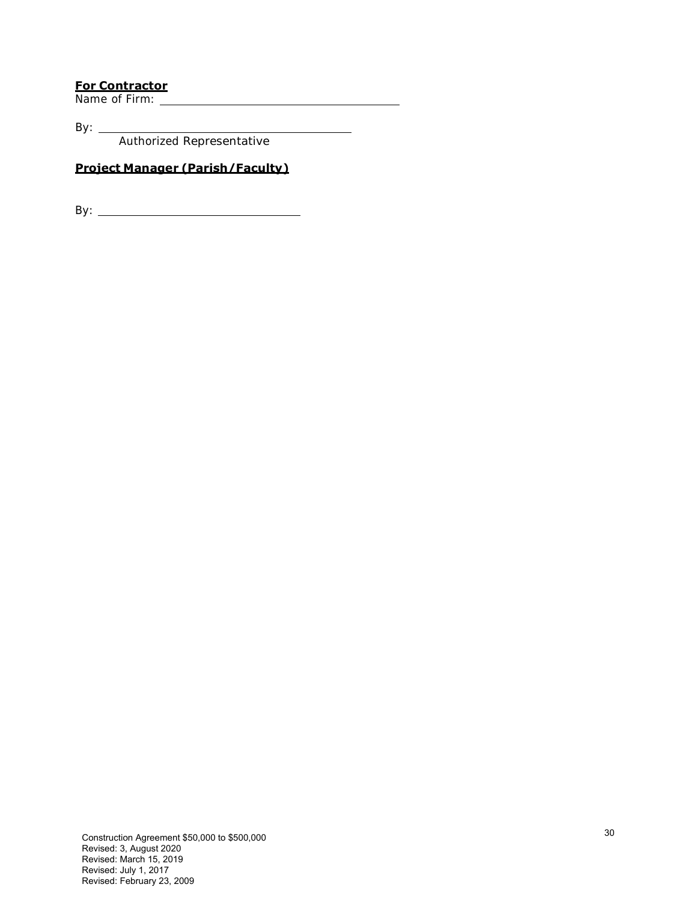# **For Contractor**

Name of Firm:

By:  $\_\_$ Authorized Representative

#### **Project Manager (Parish/Faculty)**

By: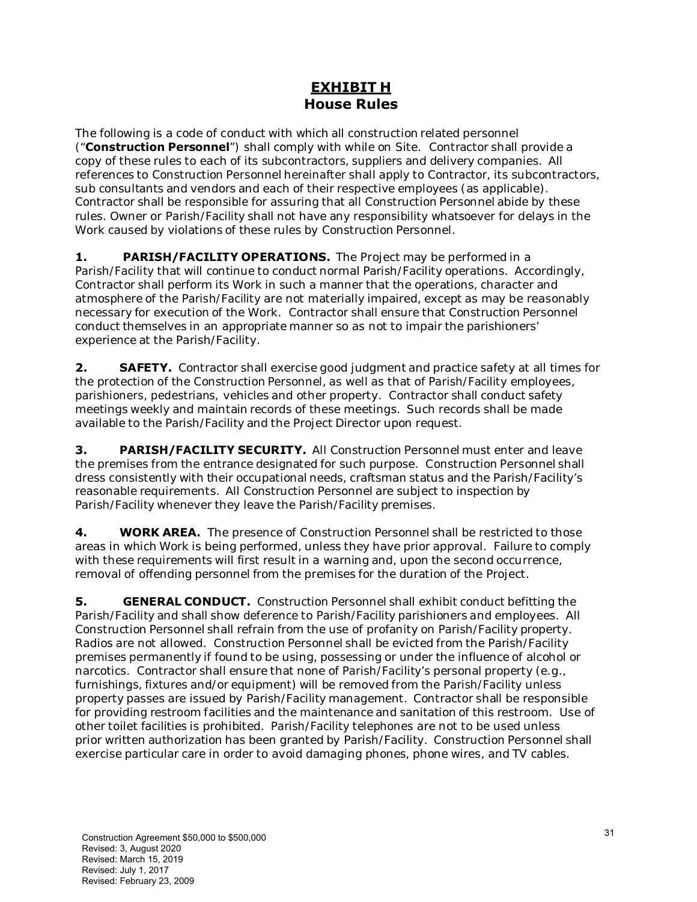# **EXHIBIT H House Rules**

The following is a code of conduct with which all construction related personnel ("**Construction Personnel**") shall comply with while on Site. Contractor shall provide a copy of these rules to each of its subcontractors, suppliers and delivery companies. All references to Construction Personnel hereinafter shall apply to Contractor, its subcontractors, sub consultants and vendors and each of their respective employees (as applicable). Contractor shall be responsible for assuring that all Construction Personnel abide by these rules. Owner or Parish/Facility shall not have any responsibility whatsoever for delays in the Work caused by violations of these rules by Construction Personnel.

**1. PARISH/FACILITY OPERATIONS.** The Project may be performed in a Parish/Facility that will continue to conduct normal Parish/Facility operations. Accordingly, Contractor shall perform its Work in such a manner that the operations, character and atmosphere of the Parish/Facility are not materially impaired, except as may be reasonably necessary for execution of the Work. Contractor shall ensure that Construction Personnel conduct themselves in an appropriate manner so as not to impair the parishioners' experience at the Parish/Facility.

**2.** SAFETY. Contractor shall exercise good judgment and practice safety at all times for the protection of the Construction Personnel, as well as that of Parish/Facility employees, parishioners, pedestrians, vehicles and other property. Contractor shall conduct safety meetings weekly and maintain records of these meetings. Such records shall be made available to the Parish/Facility and the Project Director upon request.

**3.** PARISH/FACILITY SECURITY. All Construction Personnel must enter and leave the premises from the entrance designated for such purpose. Construction Personnel shall dress consistently with their occupational needs, craftsman status and the Parish/Facility's reasonable requirements. All Construction Personnel are subject to inspection by Parish/Facility whenever they leave the Parish/Facility premises.

**4. WORK AREA.** The presence of Construction Personnel shall be restricted to those areas in which Work is being performed, unless they have prior approval. Failure to comply with these requirements will first result in a warning and, upon the second occurrence, removal of offending personnel from the premises for the duration of the Project.

**5.** GENERAL CONDUCT. Construction Personnel shall exhibit conduct befitting the Parish/Facility and shall show deference to Parish/Facility parishioners and employees. All Construction Personnel shall refrain from the use of profanity on Parish/Facility property. Radios are not allowed. Construction Personnel shall be evicted from the Parish/Facility premises permanently if found to be using, possessing or under the influence of alcohol or narcotics. Contractor shall ensure that none of Parish/Facility's personal property (*e.g.,*  furnishings, fixtures and/or equipment) will be removed from the Parish/Facility unless property passes are issued by Parish/Facility management. Contractor shall be responsible for providing restroom facilities and the maintenance and sanitation of this restroom. Use of other toilet facilities is prohibited. Parish/Facility telephones are not to be used unless prior written authorization has been granted by Parish/Facility. Construction Personnel shall exercise particular care in order to avoid damaging phones, phone wires, and TV cables.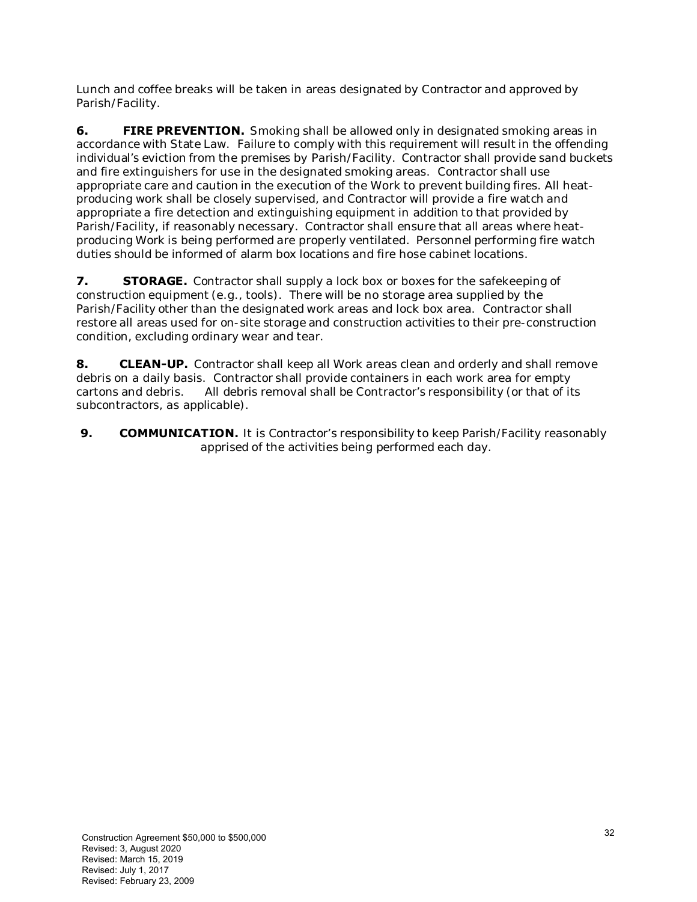Lunch and coffee breaks will be taken in areas designated by Contractor and approved by Parish/Facility.

**6. FIRE PREVENTION.** Smoking shall be allowed only in designated smoking areas in accordance with State Law. Failure to comply with this requirement will result in the offending individual's eviction from the premises by Parish/Facility. Contractor shall provide sand buckets and fire extinguishers for use in the designated smoking areas. Contractor shall use appropriate care and caution in the execution of the Work to prevent building fires. All heatproducing work shall be closely supervised, and Contractor will provide a fire watch and appropriate a fire detection and extinguishing equipment in addition to that provided by Parish/Facility, if reasonably necessary. Contractor shall ensure that all areas where heatproducing Work is being performed are properly ventilated. Personnel performing fire watch duties should be informed of alarm box locations and fire hose cabinet locations.

**7.** STORAGE. Contractor shall supply a lock box or boxes for the safekeeping of construction equipment (*e.g.*, tools). There will be no storage area supplied by the Parish/Facility other than the designated work areas and lock box area. Contractor shall restore all areas used for on-site storage and construction activities to their pre-construction condition, excluding ordinary wear and tear.

**8.** CLEAN-UP. Contractor shall keep all Work areas clean and orderly and shall remove debris on a daily basis. Contractor shall provide containers in each work area for empty cartons and debris. All debris removal shall be Contractor's responsibility (or that of its subcontractors, as applicable).

**9. COMMUNICATION.** It is Contractor's responsibility to keep Parish/Facility reasonably apprised of the activities being performed each day.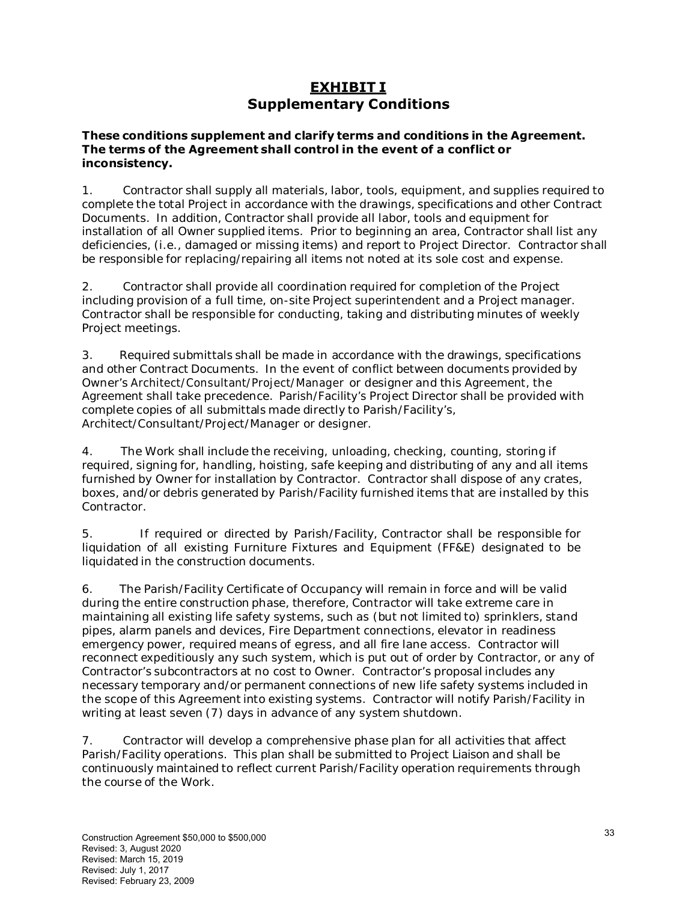# **EXHIBIT I Supplementary Conditions**

#### **These conditions supplement and clarify terms and conditions in the Agreement. The terms of the Agreement shall control in the event of a conflict or inconsistency.**

1. Contractor shall supply all materials, labor, tools, equipment, and supplies required to complete the total Project in accordance with the drawings, specifications and other Contract Documents. In addition, Contractor shall provide all labor, tools and equipment for installation of all Owner supplied items. Prior to beginning an area, Contractor shall list any deficiencies, (i.e., damaged or missing items) and report to Project Director. Contractor shall be responsible for replacing/repairing all items not noted at its sole cost and expense.

2. Contractor shall provide all coordination required for completion of the Project including provision of a full time, on-site Project superintendent and a Project manager. Contractor shall be responsible for conducting, taking and distributing minutes of weekly Project meetings.

3. Required submittals shall be made in accordance with the drawings, specifications and other Contract Documents. In the event of conflict between documents provided by Owner's Architect/Consultant/Project/Manager or designer and this Agreement, the Agreement shall take precedence. Parish/Facility's Project Director shall be provided with complete copies of all submittals made directly to Parish/Facility's, Architect/Consultant/Project/Manager or designer.

4. The Work shall include the receiving, unloading, checking, counting, storing if required, signing for, handling, hoisting, safe keeping and distributing of any and all items furnished by Owner for installation by Contractor. Contractor shall dispose of any crates, boxes, and/or debris generated by Parish/Facility furnished items that are installed by this Contractor.

5. If required or directed by Parish/Facility, Contractor shall be responsible for liquidation of all existing Furniture Fixtures and Equipment (FF&E) designated to be liquidated in the construction documents.

6. The Parish/Facility Certificate of Occupancy will remain in force and will be valid during the entire construction phase, therefore, Contractor will take extreme care in maintaining all existing life safety systems, such as (but not limited to) sprinklers, stand pipes, alarm panels and devices, Fire Department connections, elevator in readiness emergency power, required means of egress, and all fire lane access. Contractor will reconnect expeditiously any such system, which is put out of order by Contractor, or any of Contractor's subcontractors at no cost to Owner. Contractor's proposal includes any necessary temporary and/or permanent connections of new life safety systems included in the scope of this Agreement into existing systems. Contractor will notify Parish/Facility in writing at least seven (7) days in advance of any system shutdown.

7. Contractor will develop a comprehensive phase plan for all activities that affect Parish/Facility operations. This plan shall be submitted to Project Liaison and shall be continuously maintained to reflect current Parish/Facility operation requirements through the course of the Work.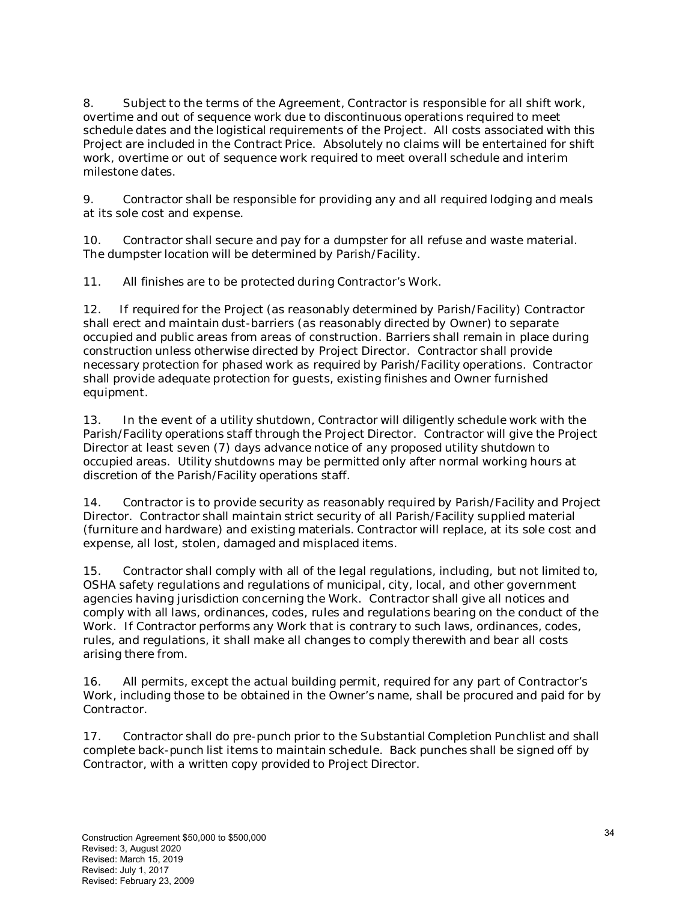8. Subject to the terms of the Agreement, Contractor is responsible for all shift work, overtime and out of sequence work due to discontinuous operations required to meet schedule dates and the logistical requirements of the Project. All costs associated with this Project are included in the Contract Price. Absolutely no claims will be entertained for shift work, overtime or out of sequence work required to meet overall schedule and interim milestone dates.

9. Contractor shall be responsible for providing any and all required lodging and meals at its sole cost and expense.

10. Contractor shall secure and pay for a dumpster for all refuse and waste material. The dumpster location will be determined by Parish/Facility.

11. All finishes are to be protected during Contractor's Work.

12. If required for the Project (as reasonably determined by Parish/Facility) Contractor shall erect and maintain dust-barriers (as reasonably directed by Owner) to separate occupied and public areas from areas of construction. Barriers shall remain in place during construction unless otherwise directed by Project Director. Contractor shall provide necessary protection for phased work as required by Parish/Facility operations. Contractor shall provide adequate protection for guests, existing finishes and Owner furnished equipment.

13. In the event of a utility shutdown, Contractor will diligently schedule work with the Parish/Facility operations staff through the Project Director. Contractor will give the Project Director at least seven (7) days advance notice of any proposed utility shutdown to occupied areas. Utility shutdowns may be permitted only after normal working hours at discretion of the Parish/Facility operations staff.

14. Contractor is to provide security as reasonably required by Parish/Facility and Project Director. Contractor shall maintain strict security of all Parish/Facility supplied material (furniture and hardware) and existing materials. Contractor will replace, at its sole cost and expense, all lost, stolen, damaged and misplaced items.

15. Contractor shall comply with all of the legal regulations, including, but not limited to, OSHA safety regulations and regulations of municipal, city, local, and other government agencies having jurisdiction concerning the Work. Contractor shall give all notices and comply with all laws, ordinances, codes, rules and regulations bearing on the conduct of the Work. If Contractor performs any Work that is contrary to such laws, ordinances, codes, rules, and regulations, it shall make all changes to comply therewith and bear all costs arising there from.

16. All permits, except the actual building permit, required for any part of Contractor's Work, including those to be obtained in the Owner's name, shall be procured and paid for by Contractor.

17. Contractor shall do pre-punch prior to the Substantial Completion Punchlist and shall complete back-punch list items to maintain schedule. Back punches shall be signed off by Contractor, with a written copy provided to Project Director.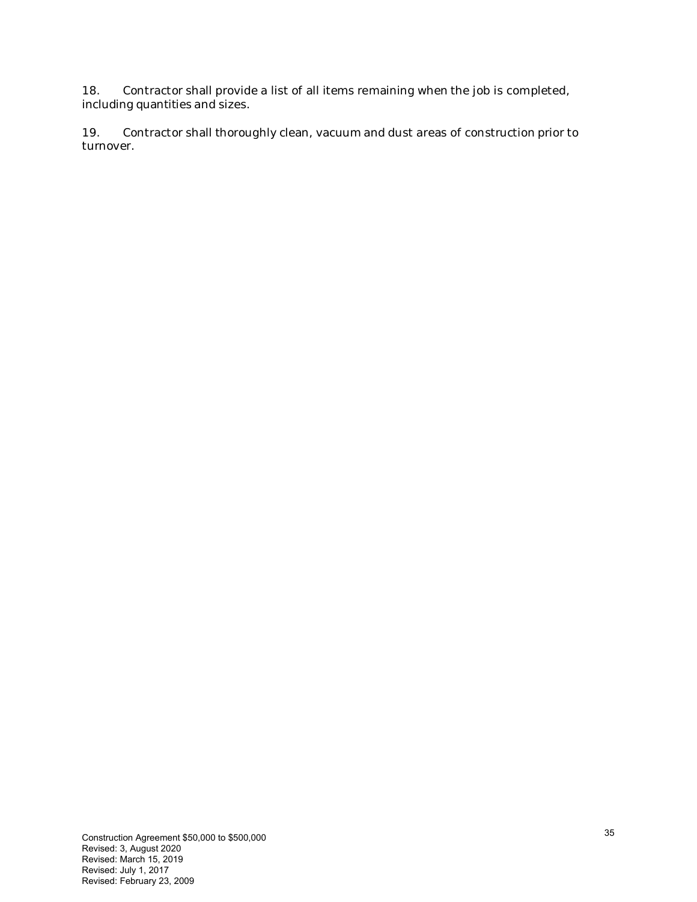18. Contractor shall provide a list of all items remaining when the job is completed, including quantities and sizes.

19. Contractor shall thoroughly clean, vacuum and dust areas of construction prior to turnover.

Construction Agreement \$50,000 to \$500,000 Revised: 3, August 2020 Revised: March 15, 2019 Revised: July 1, 2017 Revised: February 23, 2009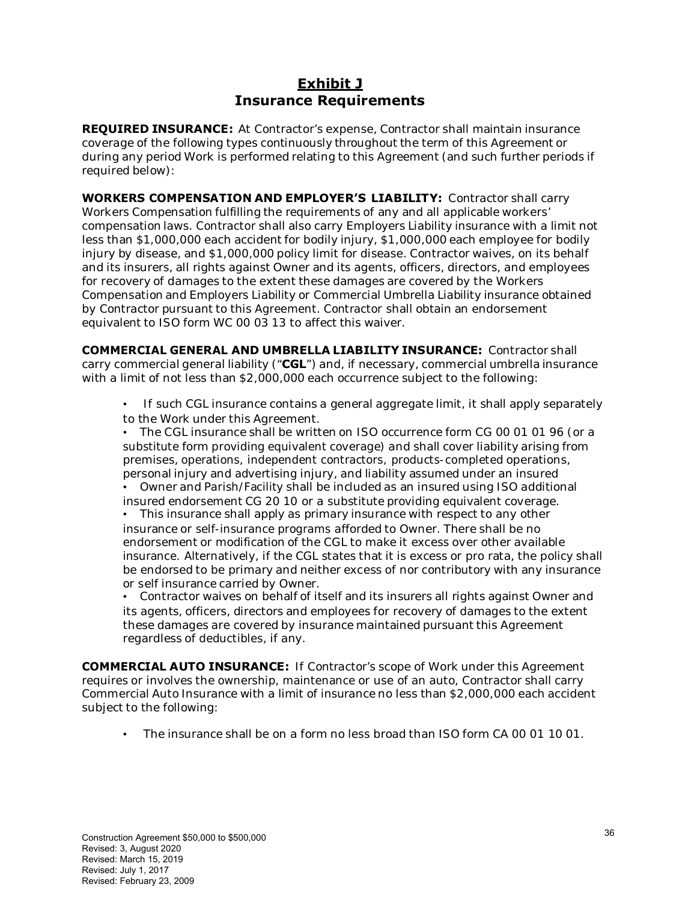# **Exhibit J Insurance Requirements**

**REQUIRED INSURANCE:** At Contractor's expense, Contractor shall maintain insurance coverage of the following types continuously throughout the term of this Agreement or during any period Work is performed relating to this Agreement (and such further periods if required below):

**WORKERS COMPENSATION AND EMPLOYER'S LIABILITY:** Contractor shall carry Workers Compensation fulfilling the requirements of any and all applicable workers' compensation laws. Contractor shall also carry Employers Liability insurance with a limit not less than \$1,000,000 each accident for bodily injury, \$1,000,000 each employee for bodily injury by disease, and \$1,000,000 policy limit for disease. Contractor waives, on its behalf and its insurers, all rights against Owner and its agents, officers, directors, and employees for recovery of damages to the extent these damages are covered by the Workers Compensation and Employers Liability or Commercial Umbrella Liability insurance obtained by Contractor pursuant to this Agreement. Contractor shall obtain an endorsement equivalent to ISO form WC 00 03 13 to affect this waiver.

**COMMERCIAL GENERAL AND UMBRELLA LIABILITY INSURANCE:** Contractor shall carry commercial general liability ("**CGL**") and, if necessary, commercial umbrella insurance with a limit of not less than \$2,000,000 each occurrence subject to the following:

• If such CGL insurance contains a general aggregate limit, it shall apply separately to the Work under this Agreement.

• The CGL insurance shall be written on ISO occurrence form CG 00 01 01 96 (or a substitute form providing equivalent coverage) and shall cover liability arising from premises, operations, independent contractors, products-completed operations, personal injury and advertising injury, and liability assumed under an insured

• Owner and Parish/Facility shall be included as an insured using ISO additional insured endorsement CG 20 10 or a substitute providing equivalent coverage.

• This insurance shall apply as primary insurance with respect to any other insurance or self-insurance programs afforded to Owner. There shall be no endorsement or modification of the CGL to make it excess over other available insurance. Alternatively, if the CGL states that it is excess or pro rata, the policy shall be endorsed to be primary and neither excess of nor contributory with any insurance or self insurance carried by Owner.

• Contractor waives on behalf of itself and its insurers all rights against Owner and its agents, officers, directors and employees for recovery of damages to the extent these damages are covered by insurance maintained pursuant this Agreement regardless of deductibles, if any.

**COMMERCIAL AUTO INSURANCE:** If Contractor's scope of Work under this Agreement requires or involves the ownership, maintenance or use of an auto, Contractor shall carry Commercial Auto Insurance with a limit of insurance no less than \$2,000,000 each accident subject to the following:

• The insurance shall be on a form no less broad than ISO form CA 00 01 10 01.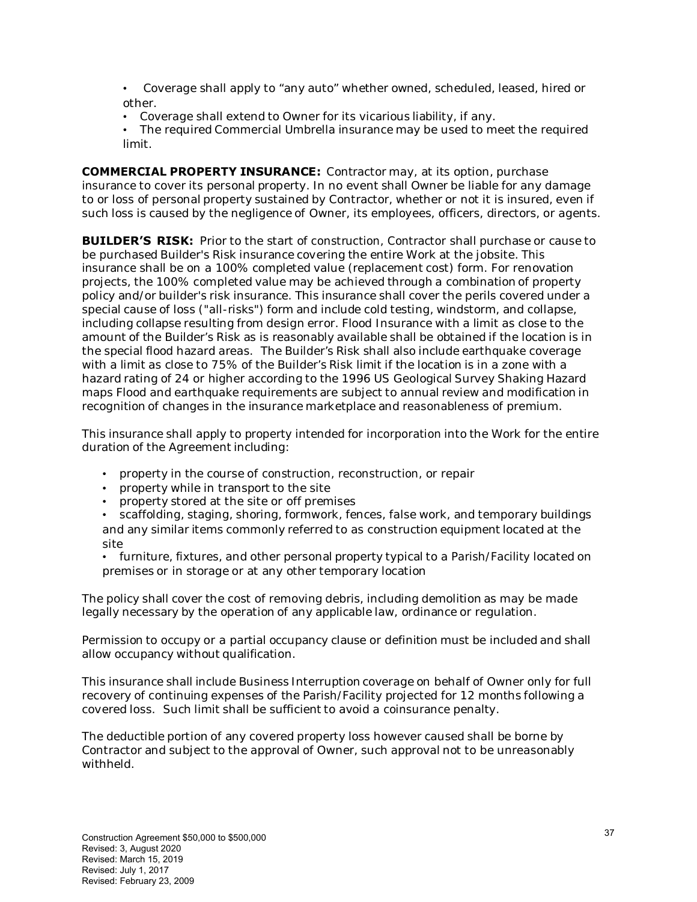- Coverage shall apply to "any auto" whether owned, scheduled, leased, hired or other.
- Coverage shall extend to Owner for its vicarious liability, if any.
- The required Commercial Umbrella insurance may be used to meet the required limit.

**COMMERCIAL PROPERTY INSURANCE:** Contractor may, at its option, purchase insurance to cover its personal property. In no event shall Owner be liable for any damage to or loss of personal property sustained by Contractor, whether or not it is insured, even if such loss is caused by the negligence of Owner, its employees, officers, directors, or agents.

**BUILDER'S RISK:** Prior to the start of construction, Contractor shall purchase or cause to be purchased Builder's Risk insurance covering the entire Work at the jobsite. This insurance shall be on a 100% completed value (replacement cost) form. For renovation projects, the 100% completed value may be achieved through a combination of property policy and/or builder's risk insurance. This insurance shall cover the perils covered under a special cause of loss ("all-risks") form and include cold testing, windstorm, and collapse, including collapse resulting from design error. Flood Insurance with a limit as close to the amount of the Builder's Risk as is reasonably available shall be obtained if the location is in the special flood hazard areas. The Builder's Risk shall also include earthquake coverage with a limit as close to 75% of the Builder's Risk limit if the location is in a zone with a hazard rating of 24 or higher according to the 1996 US Geological Survey Shaking Hazard maps Flood and earthquake requirements are subject to annual review and modification in recognition of changes in the insurance marketplace and reasonableness of premium.

This insurance shall apply to property intended for incorporation into the Work for the entire duration of the Agreement including:

- property in the course of construction, reconstruction, or repair
- property while in transport to the site
- property stored at the site or off premises
- scaffolding, staging, shoring, formwork, fences, false work, and temporary buildings and any similar items commonly referred to as construction equipment located at the site

• furniture, fixtures, and other personal property typical to a Parish/Facility located on premises or in storage or at any other temporary location

The policy shall cover the cost of removing debris, including demolition as may be made legally necessary by the operation of any applicable law, ordinance or regulation.

Permission to occupy or a partial occupancy clause or definition must be included and shall allow occupancy without qualification.

This insurance shall include Business Interruption coverage on behalf of Owner only for full recovery of continuing expenses of the Parish/Facility projected for 12 months following a covered loss. Such limit shall be sufficient to avoid a coinsurance penalty.

The deductible portion of any covered property loss however caused shall be borne by Contractor and subject to the approval of Owner, such approval not to be unreasonably withheld.